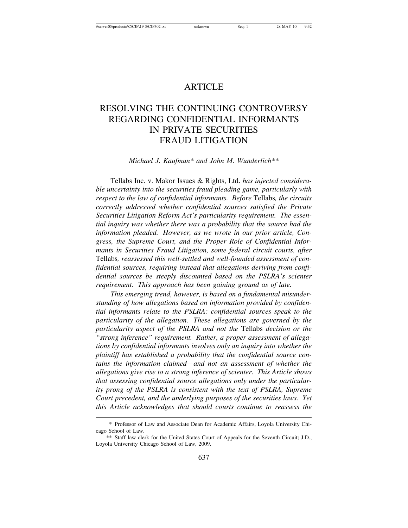# **ARTICLE**

# RESOLVING THE CONTINUING CONTROVERSY REGARDING CONFIDENTIAL INFORMANTS IN PRIVATE SECURITIES FRAUD LITIGATION

*Michael J. Kaufman\* and John M. Wunderlich\*\**

Tellabs Inc. v. Makor Issues & Rights, Ltd. *has injected considerable uncertainty into the securities fraud pleading game, particularly with respect to the law of confidential informants. Before* Tellabs*, the circuits correctly addressed whether confidential sources satisfied the Private Securities Litigation Reform Act's particularity requirement. The essential inquiry was whether there was a probability that the source had the information pleaded. However, as we wrote in our prior article, Congress, the Supreme Court, and the Proper Role of Confidential Informants in Securities Fraud Litigation, some federal circuit courts, after* Tellabs*, reassessed this well-settled and well-founded assessment of confidential sources, requiring instead that allegations deriving from confidential sources be steeply discounted based on the PSLRA's scienter requirement. This approach has been gaining ground as of late.*

*This emerging trend, however, is based on a fundamental misunderstanding of how allegations based on information provided by confidential informants relate to the PSLRA: confidential sources speak to the particularity of the allegation. These allegations are governed by the particularity aspect of the PSLRA and not the* Tellabs *decision or the "strong inference" requirement. Rather, a proper assessment of allegations by confidential informants involves only an inquiry into whether the plaintiff has established a probability that the confidential source contains the information claimed—and not an assessment of whether the allegations give rise to a strong inference of scienter. This Article shows that assessing confidential source allegations only under the particularity prong of the PSLRA is consistent with the text of PSLRA, Supreme Court precedent, and the underlying purposes of the securities laws. Yet this Article acknowledges that should courts continue to reassess the*

<sup>\*</sup> Professor of Law and Associate Dean for Academic Affairs, Loyola University Chicago School of Law.

<sup>\*\*</sup> Staff law clerk for the United States Court of Appeals for the Seventh Circuit; J.D., Loyola University Chicago School of Law, 2009.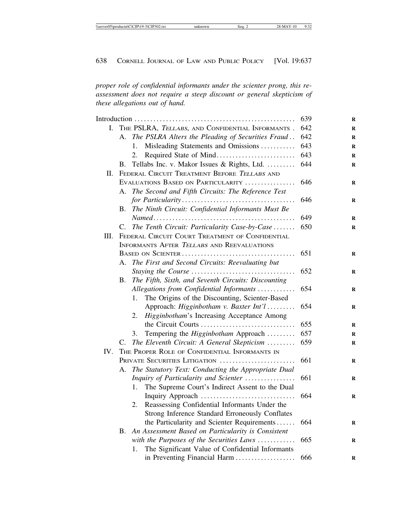*proper role of confidential informants under the scienter prong, this reassessment does not require a steep discount or general skepticism of these allegations out of hand.*

|                                                            | 639                                                                                                                                                                                                                               |
|------------------------------------------------------------|-----------------------------------------------------------------------------------------------------------------------------------------------------------------------------------------------------------------------------------|
| THE PSLRA, TELLABS, AND CONFIDENTIAL INFORMANTS.           | 642                                                                                                                                                                                                                               |
| A. The PSLRA Alters the Pleading of Securities Fraud       | 642                                                                                                                                                                                                                               |
| Misleading Statements and Omissions<br>$1_{-}$             | 643                                                                                                                                                                                                                               |
| 2.                                                         | 643                                                                                                                                                                                                                               |
| B.                                                         | 644                                                                                                                                                                                                                               |
| FEDERAL CIRCUIT TREATMENT BEFORE TELLABS AND               |                                                                                                                                                                                                                                   |
| EVALUATIONS BASED ON PARTICULARITY                         | 646                                                                                                                                                                                                                               |
| А.                                                         |                                                                                                                                                                                                                                   |
|                                                            | 646                                                                                                                                                                                                                               |
| B.                                                         |                                                                                                                                                                                                                                   |
|                                                            | 649                                                                                                                                                                                                                               |
| C.                                                         | 650                                                                                                                                                                                                                               |
| FEDERAL CIRCUIT COURT TREATMENT OF CONFIDENTIAL            |                                                                                                                                                                                                                                   |
| <b>INFORMANTS AFTER TELLABS AND REEVALUATIONS</b>          |                                                                                                                                                                                                                                   |
|                                                            | 651                                                                                                                                                                                                                               |
| The First and Second Circuits: Reevaluating but<br>$A_{-}$ |                                                                                                                                                                                                                                   |
|                                                            | 652                                                                                                                                                                                                                               |
| The Fifth, Sixth, and Seventh Circuits: Discounting<br>В.  |                                                                                                                                                                                                                                   |
| Allegations from Confidential Informants                   | 654                                                                                                                                                                                                                               |
| The Origins of the Discounting, Scienter-Based<br>1.       |                                                                                                                                                                                                                                   |
| Approach: Higginbotham v. Baxter Int'l                     | 654                                                                                                                                                                                                                               |
| Higginbotham's Increasing Acceptance Among<br>2.           |                                                                                                                                                                                                                                   |
| the Circuit Courts                                         | 655                                                                                                                                                                                                                               |
| Tempering the Higginbotham Approach<br>3.                  | 657                                                                                                                                                                                                                               |
| The Eleventh Circuit: A General Skepticism<br>C.           | 659                                                                                                                                                                                                                               |
| THE PROPER ROLE OF CONFIDENTIAL INFORMANTS IN              |                                                                                                                                                                                                                                   |
| PRIVATE SECURITIES LITIGATION                              | 661                                                                                                                                                                                                                               |
| A. The Statutory Text: Conducting the Appropriate Dual     |                                                                                                                                                                                                                                   |
| Inquiry of Particularity and Scienter                      | 661                                                                                                                                                                                                                               |
| The Supreme Court's Indirect Assent to the Dual<br>1.      |                                                                                                                                                                                                                                   |
|                                                            | 664                                                                                                                                                                                                                               |
| Reassessing Confidential Informants Under the<br>2.        |                                                                                                                                                                                                                                   |
| Strong Inference Standard Erroneously Conflates            |                                                                                                                                                                                                                                   |
| the Particularity and Scienter Requirements                | 664                                                                                                                                                                                                                               |
| B. An Assessment Based on Particularity is Consistent      |                                                                                                                                                                                                                                   |
| with the Purposes of the Securities Laws                   | 665                                                                                                                                                                                                                               |
| The Significant Value of Confidential Informants<br>1.     |                                                                                                                                                                                                                                   |
| in Preventing Financial Harm                               | 666                                                                                                                                                                                                                               |
|                                                            | Required State of Mind<br>Tellabs Inc. v. Makor Issues & Rights, Ltd.<br>The Second and Fifth Circuits: The Reference Test<br>The Ninth Circuit: Confidential Informants Must Be<br>The Tenth Circuit: Particularity Case-by-Case |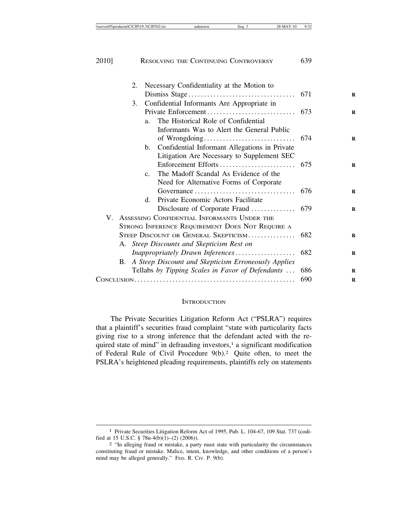| 2. | Necessary Confidentiality at the Motion to            |     |
|----|-------------------------------------------------------|-----|
|    |                                                       |     |
| 3. | Confidential Informants Are Appropriate in            |     |
|    | Private Enforcement                                   | 673 |
|    | The Historical Role of Confidential<br>a <sub>1</sub> |     |
|    | Informants Was to Alert the General Public            |     |
|    |                                                       | 674 |
|    | Confidential Informant Allegations in Private<br>b.   |     |
|    | Litigation Are Necessary to Supplement SEC            |     |
|    | Enforcement Efforts                                   | 675 |
|    | The Madoff Scandal As Evidence of the<br>$C_{-}$      |     |
|    | Need for Alternative Forms of Corporate               |     |
|    |                                                       | 676 |
|    | Private Economic Actors Facilitate<br>d.              |     |
|    | Disclosure of Corporate Fraud                         | 679 |
|    | V. ASSESSING CONFIDENTIAL INFORMANTS UNDER THE        |     |
|    | STRONG INFERENCE REQUIREMENT DOES NOT REQUIRE A       |     |
|    | STEEP DISCOUNT OR GENERAL SKEPTICISM                  | 682 |
|    | A. Steep Discounts and Skepticism Rest on             |     |
|    | Inappropriately Drawn Inferences                      | 682 |
| B. | A Steep Discount and Skepticism Erroneously Applies   |     |
|    | Tellabs by Tipping Scales in Favor of Defendants      | 686 |
|    |                                                       | 690 |
|    |                                                       |     |

#### **INTRODUCTION**

The Private Securities Litigation Reform Act ("PSLRA") requires that a plaintiff's securities fraud complaint "state with particularity facts giving rise to a strong inference that the defendant acted with the required state of mind" in defrauding investors,<sup>1</sup> a significant modification of Federal Rule of Civil Procedure 9(b).2 Quite often, to meet the PSLRA's heightened pleading requirements, plaintiffs rely on statements

<sup>1</sup> Private Securities Litigation Reform Act of 1995, Pub. L. 104-67, 109 Stat. 737 (codified at 15 U.S.C. § 78u-4(b)(1)–(2) (2006)). <sup>2</sup> "In alleging fraud or mistake, a party must state with particularity the circumstances

constituting fraud or mistake. Malice, intent, knowledge, and other conditions of a person's mind may be alleged generally." FED. R. CIV. P. 9(b).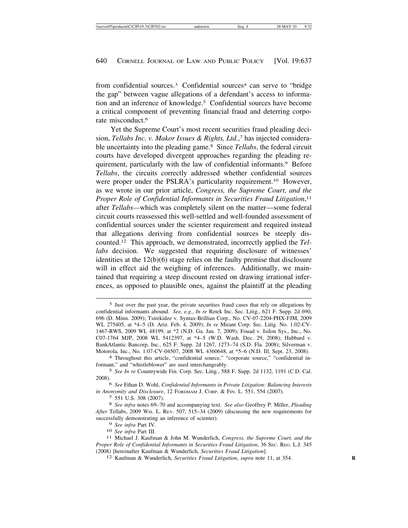from confidential sources.<sup>3</sup> Confidential sources<sup>4</sup> can serve to "bridge" the gap" between vague allegations of a defendant's access to information and an inference of knowledge.5 Confidential sources have become a critical component of preventing financial fraud and deterring corporate misconduct.6

Yet the Supreme Court's most recent securities fraud pleading decision, *Tellabs Inc. v. Makor Issues & Rights, Ltd.*, 7 has injected considerable uncertainty into the pleading game.8 Since *Tellabs*, the federal circuit courts have developed divergent approaches regarding the pleading requirement, particularly with the law of confidential informants.9 Before *Tellabs*, the circuits correctly addressed whether confidential sources were proper under the PSLRA's particularity requirement.<sup>10</sup> However, as we wrote in our prior article, *Congress, the Supreme Court, and the Proper Role of Confidential Informants in Securities Fraud Litigation*, 11 after *Tellabs—*which was completely silent on the matter—some federal circuit courts reassessed this well-settled and well-founded assessment of confidential sources under the scienter requirement and required instead that allegations deriving from confidential sources be steeply discounted.12 This approach, we demonstrated, incorrectly applied the *Tellabs* decision. We suggested that requiring disclosure of witnesses' identities at the 12(b)(6) stage relies on the faulty premise that disclosure will in effect aid the weighing of inferences. Additionally, we maintained that requiring a steep discount rested on drawing irrational inferences, as opposed to plausible ones, against the plaintiff at the pleading

6 *See* Ethan D. Wohl, *Confidential Informants in Private Litigation: Balancing Interests*

*in Anonymity and Disclosure*, 12 FORDHAM J. CORP. & FIN. L. 551, 554 (2007). <sup>7</sup> 551 U.S. 308 (2007). <sup>8</sup> *See infra* notes 69–70 and accompanying text. *See also* Geoffrey P. Miller, *Pleading After* Tellabs, 2009 WIS. L. REV. 507, 515–34 (2009) (discussing the new requirements for successfully demonstrating an inference of scienter).

- 
- 

<sup>3</sup> Just over the past year, the private securities fraud cases that rely on allegations by confidential informants abound. *See, e.g.*, *In re* Retek Inc. Sec. Litig*.*, 621 F. Supp. 2d 690, 696 (D. Minn. 2009); Tsirekidze v. Syntax-Brillian Corp., No. CV-07-2204-PHX-FJM, 2009 WL 275405, at \*4–5 (D. Ariz. Feb. 4, 2009); *In re* Mirant Corp. Sec. Litig. No. 1:02-CV-1467-RWS, 2009 WL 48199, at \*2 (N.D. Ga. Jan. 7, 2009); Fouad v. Isilon Sys., Inc., No. C07-1764 MJP, 2008 WL 5412397, at \*4–5 (W.D. Wash. Dec. 29, 2008); Hubbard v. BankAtlantic Bancorp, Inc*.*, 625 F. Supp. 2d 1267, 1273–74 (S.D. Fla. 2008); Silverman v. Motorola, Inc., No. 1:07-CV-04507, 2008 WL 4360648, at \*5–6 (N.D. Ill. Sept. 23, 2008). <sup>4</sup> Throughout this article, "confidential source," "corporate source," "confidential in-

formant," and "whistleblower" are used interchangeably.

<sup>5</sup> *See In re* Countrywide Fin. Corp. Sec. Litig*.*, 588 F. Supp. 2d 1132, 1191 (C.D. Cal. 2008).

<sup>9</sup> *See infra* Part IV. <sup>10</sup> *See infra* Part III. <sup>11</sup> Michael J. Kaufman & John M. Wunderlich, *Congress, the Supreme Court, and the Proper Role of Confidential Informants in Securities Fraud Litigation*, 36 SEC. REG. L.J. 345 (2008) [hereinafter Kaufman & Wunderlich, *Securities Fraud Litigation*]. <sup>12</sup> Kaufman & Wunderlich, *Securities Fraud Litigation*, *supra* note 11, at 354. **<sup>R</sup>**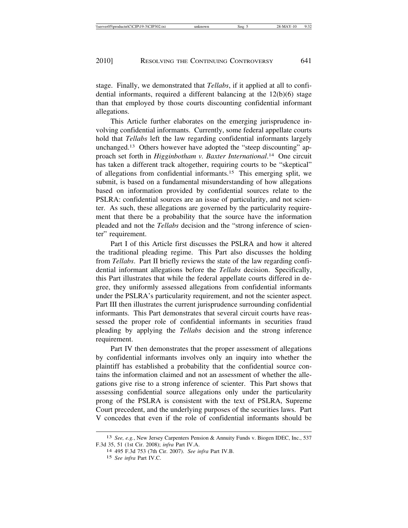stage. Finally, we demonstrated that *Tellabs*, if it applied at all to confidential informants, required a different balancing at the 12(b)(6) stage than that employed by those courts discounting confidential informant allegations.

This Article further elaborates on the emerging jurisprudence involving confidential informants. Currently, some federal appellate courts hold that *Tellabs* left the law regarding confidential informants largely unchanged.13 Others however have adopted the "steep discounting" approach set forth in *Higginbotham v. Baxter International*. 14 One circuit has taken a different track altogether, requiring courts to be "skeptical" of allegations from confidential informants.15 This emerging split, we submit, is based on a fundamental misunderstanding of how allegations based on information provided by confidential sources relate to the PSLRA: confidential sources are an issue of particularity, and not scienter. As such, these allegations are governed by the particularity requirement that there be a probability that the source have the information pleaded and not the *Tellabs* decision and the "strong inference of scienter" requirement.

Part I of this Article first discusses the PSLRA and how it altered the traditional pleading regime. This Part also discusses the holding from *Tellabs*. Part II briefly reviews the state of the law regarding confidential informant allegations before the *Tellabs* decision. Specifically, this Part illustrates that while the federal appellate courts differed in degree, they uniformly assessed allegations from confidential informants under the PSLRA's particularity requirement, and not the scienter aspect. Part III then illustrates the current jurisprudence surrounding confidential informants. This Part demonstrates that several circuit courts have reassessed the proper role of confidential informants in securities fraud pleading by applying the *Tellabs* decision and the strong inference requirement.

Part IV then demonstrates that the proper assessment of allegations by confidential informants involves only an inquiry into whether the plaintiff has established a probability that the confidential source contains the information claimed and not an assessment of whether the allegations give rise to a strong inference of scienter. This Part shows that assessing confidential source allegations only under the particularity prong of the PSLRA is consistent with the text of PSLRA, Supreme Court precedent, and the underlying purposes of the securities laws. Part V concedes that even if the role of confidential informants should be

<sup>13</sup> *See, e.g.*, New Jersey Carpenters Pension & Annuity Funds v. Biogen IDEC, Inc., 537 F.3d 35, 51 (1st Cir. 2008); *infra* Part IV.A. <sup>14</sup> 495 F.3d 753 (7th Cir. 2007). *See infra* Part IV.B.

<sup>15</sup> *See infra* Part IV.C.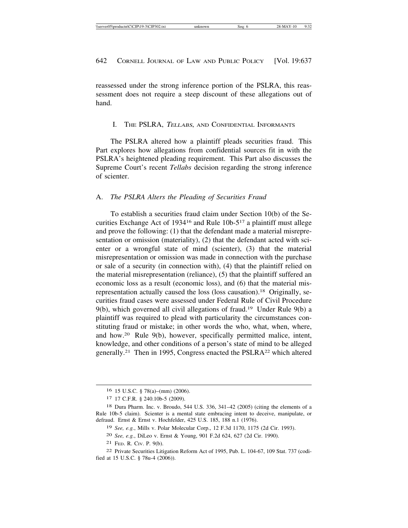reassessed under the strong inference portion of the PSLRA, this reassessment does not require a steep discount of these allegations out of hand.

#### I. THE PSLRA, <sup>T</sup>ELLABS, AND CONFIDENTIAL INFORMANTS

The PSLRA altered how a plaintiff pleads securities fraud. This Part explores how allegations from confidential sources fit in with the PSLRA's heightened pleading requirement. This Part also discusses the Supreme Court's recent *Tellabs* decision regarding the strong inference of scienter.

#### A. *The PSLRA Alters the Pleading of Securities Fraud*

To establish a securities fraud claim under Section 10(b) of the Securities Exchange Act of 193416 and Rule 10b-517 a plaintiff must allege and prove the following: (1) that the defendant made a material misrepresentation or omission (materiality), (2) that the defendant acted with scienter or a wrongful state of mind (scienter), (3) that the material misrepresentation or omission was made in connection with the purchase or sale of a security (in connection with), (4) that the plaintiff relied on the material misrepresentation (reliance), (5) that the plaintiff suffered an economic loss as a result (economic loss), and (6) that the material misrepresentation actually caused the loss (loss causation).18 Originally, securities fraud cases were assessed under Federal Rule of Civil Procedure 9(b), which governed all civil allegations of fraud.19 Under Rule 9(b) a plaintiff was required to plead with particularity the circumstances constituting fraud or mistake; in other words the who, what, when, where, and how.20 Rule 9(b), however, specifically permitted malice, intent, knowledge, and other conditions of a person's state of mind to be alleged generally.21 Then in 1995, Congress enacted the PSLRA22 which altered

21 FED. R. CIV. P. 9(b).

<sup>16</sup> 15 U.S.C. § 78(a)–(mm) (2006).

<sup>17</sup> 17 C.F.R. § 240.10b-5 (2009).

<sup>18</sup> Dura Pharm. Inc. v. Broudo, 544 U.S. 336, 341–42 (2005) (citing the elements of a Rule 10b-5 claim). Scienter is a mental state embracing intent to deceive, manipulate, or defraud. Ernst & Ernst v. Hochfelder, 425 U.S. 185, 188 n.1 (1976).

<sup>19</sup> *See, e.g.*, Mills v. Polar Molecular Corp., 12 F.3d 1170, 1175 (2d Cir. 1993).

<sup>20</sup> *See, e.g.*, DiLeo v. Ernst & Young, 901 F.2d 624, 627 (2d Cir. 1990).

<sup>22</sup> Private Securities Litigation Reform Act of 1995, Pub. L. 104-67, 109 Stat. 737 (codified at 15 U.S.C. § 78u-4 (2006)).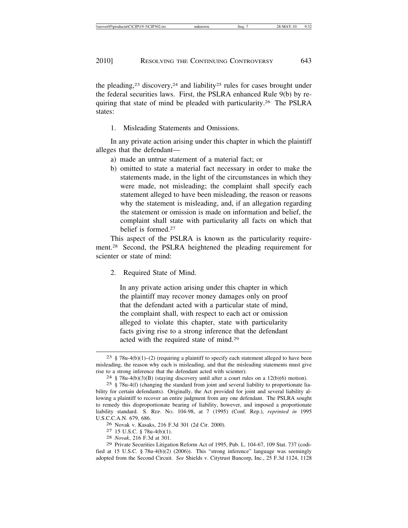the pleading,<sup>23</sup> discovery,<sup>24</sup> and liability<sup>25</sup> rules for cases brought under the federal securities laws. First, the PSLRA enhanced Rule 9(b) by requiring that state of mind be pleaded with particularity.26 The PSLRA states:

1. Misleading Statements and Omissions.

In any private action arising under this chapter in which the plaintiff alleges that the defendant—

- a) made an untrue statement of a material fact; or
- b) omitted to state a material fact necessary in order to make the statements made, in the light of the circumstances in which they were made, not misleading; the complaint shall specify each statement alleged to have been misleading, the reason or reasons why the statement is misleading, and, if an allegation regarding the statement or omission is made on information and belief, the complaint shall state with particularity all facts on which that belief is formed.27

This aspect of the PSLRA is known as the particularity requirement.28 Second, the PSLRA heightened the pleading requirement for scienter or state of mind:

2. Required State of Mind.

In any private action arising under this chapter in which the plaintiff may recover money damages only on proof that the defendant acted with a particular state of mind, the complaint shall, with respect to each act or omission alleged to violate this chapter, state with particularity facts giving rise to a strong inference that the defendant acted with the required state of mind.29

- <sup>26</sup> Novak v. Kasaks, 216 F.3d 301 (2d Cir. 2000). <sup>27</sup> 15 U.S.C. § 78u-4(b)(1). <sup>28</sup> *Novak*, 216 F.3d at 301.
- 
- 

 $23 \text{ }\frac{8}{3}$  78u-4(b)(1)–(2) (requiring a plaintiff to specify each statement alleged to have been misleading, the reason why each is misleading, and that the misleading statements must give rise to a strong inference that the defendant acted with scienter). <sup>24</sup> § 78u-4(b)(3)(B) (staying discovery until after a court rules on a 12(b)(6) motion).

<sup>25</sup> § 78u-4(f) (changing the standard from joint and several liability to proportionate liability for certain defendants). Originally, the Act provided for joint and several liability allowing a plaintiff to recover an entire judgment from any one defendant. The PSLRA sought to remedy this disproportionate bearing of liability, however, and imposed a proportionate liability standard. S. REP. NO. 104-98, at 7 (1995) (Conf. Rep.), *reprinted in* 1995 U.S.C.C.A.N. 679, 686.

<sup>29</sup> Private Securities Litigation Reform Act of 1995, Pub. L. 104-67, 109 Stat. 737 (codified at 15 U.S.C. § 78u-4(b)(2) (2006)). This "strong inference" language was seemingly adopted from the Second Circuit. *See* Shields v. Citytrust Bancorp, Inc., 25 F.3d 1124, 1128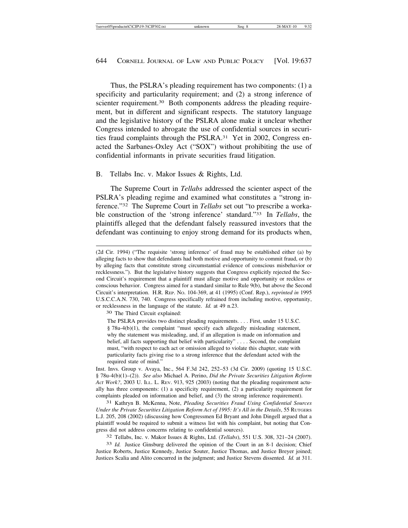Thus, the PSLRA's pleading requirement has two components: (1) a specificity and particularity requirement; and (2) a strong inference of scienter requirement.<sup>30</sup> Both components address the pleading requirement, but in different and significant respects. The statutory language and the legislative history of the PSLRA alone make it unclear whether Congress intended to abrogate the use of confidential sources in securities fraud complaints through the PSLRA.<sup>31</sup> Yet in 2002, Congress enacted the Sarbanes-Oxley Act ("SOX") without prohibiting the use of confidential informants in private securities fraud litigation.

B. Tellabs Inc. v. Makor Issues & Rights, Ltd.

The Supreme Court in *Tellabs* addressed the scienter aspect of the PSLRA's pleading regime and examined what constitutes a "strong inference."32 The Supreme Court in *Tellabs* set out "to prescribe a workable construction of the 'strong inference' standard."33 In *Tellabs*, the plaintiffs alleged that the defendant falsely reassured investors that the defendant was continuing to enjoy strong demand for its products when,

30 The Third Circuit explained:

Inst. Invs. Group v. Avaya, Inc., 564 F.3d 242, 252–53 (3d Cir. 2009) (quoting 15 U.S.C. § 78u-4(b)(1)–(2)). *See also* Michael A. Perino, *Did the Private Securities Litigation Reform Act Work?*, 2003 U. ILL. L. REV. 913, 925 (2003) (noting that the pleading requirement actually has three components: (1) a specificity requirement, (2) a particularity requirement for complaints pleaded on information and belief, and (3) the strong inference requirement).

31 Kathryn B. McKenna, Note, *Pleading Securities Fraud Using Confidential Sources Under the Private Securities Litigation Reform Act of 1995: It's All in the Details*, 55 RUTGERS L.J. 205, 208 (2002) (discussing how Congressmen Ed Bryant and John Dingell argued that a plaintiff would be required to submit a witness list with his complaint, but noting that Congress did not address concerns relating to confidential sources).

32 Tellabs, Inc. v. Makor Issues & Rights, Ltd. (*Tellabs*), 551 U.S. 308, 321–24 (2007).

33 *Id.* Justice Ginsburg delivered the opinion of the Court in an 8-1 decision; Chief Justice Roberts, Justice Kennedy, Justice Souter, Justice Thomas, and Justice Breyer joined; Justices Scalia and Alito concurred in the judgment; and Justice Stevens dissented. *Id.* at 311.

<sup>(2</sup>d Cir. 1994) ("The requisite 'strong inference' of fraud may be established either (a) by alleging facts to show that defendants had both motive and opportunity to commit fraud, or (b) by alleging facts that constitute strong circumstantial evidence of conscious misbehavior or recklessness."). But the legislative history suggests that Congress explicitly rejected the Second Circuit's requirement that a plaintiff must allege motive and opportunity or reckless or conscious behavior. Congress aimed for a standard similar to Rule 9(b), but above the Second Circuit's interpretation. H.R. REP. NO. 104-369, at 41 (1995) (Conf. Rep.), *reprinted in* 1995 U.S.C.C.A.N. 730, 740. Congress specifically refrained from including motive, opportunity, or recklessness in the language of the statute. *Id.* at 49 n.23.

The PSLRA provides two distinct pleading requirements. . . . First, under 15 U.S.C. § 78u-4(b)(1), the complaint "must specify each allegedly misleading statement, why the statement was misleading, and, if an allegation is made on information and belief, all facts supporting that belief with particularity" . . . . Second, the complaint must, "with respect to each act or omission alleged to violate this chapter, state with particularity facts giving rise to a strong inference that the defendant acted with the required state of mind."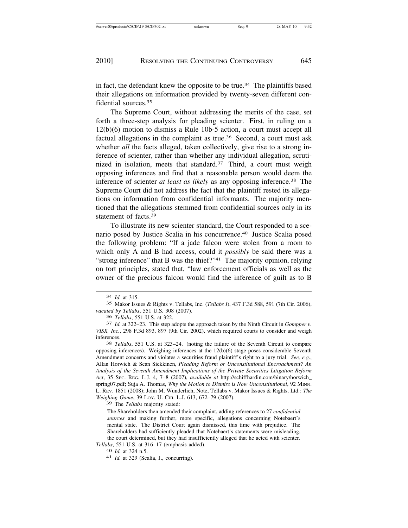in fact, the defendant knew the opposite to be true.<sup>34</sup> The plaintiffs based their allegations on information provided by twenty-seven different confidential sources.35

The Supreme Court, without addressing the merits of the case, set forth a three-step analysis for pleading scienter. First, in ruling on a 12(b)(6) motion to dismiss a Rule 10b-5 action, a court must accept all factual allegations in the complaint as true.<sup>36</sup> Second, a court must ask whether *all* the facts alleged, taken collectively, give rise to a strong inference of scienter, rather than whether any individual allegation, scrutinized in isolation, meets that standard.<sup>37</sup> Third, a court must weigh opposing inferences and find that a reasonable person would deem the inference of scienter *at least as likely* as any opposing inference.<sup>38</sup> The Supreme Court did not address the fact that the plaintiff rested its allegations on information from confidential informants. The majority mentioned that the allegations stemmed from confidential sources only in its statement of facts.39

To illustrate its new scienter standard, the Court responded to a scenario posed by Justice Scalia in his concurrence.40 Justice Scalia posed the following problem: "If a jade falcon were stolen from a room to which only A and B had access, could it *possibly* be said there was a "strong inference" that B was the thief?"41 The majority opinion, relying on tort principles, stated that, "law enforcement officials as well as the owner of the precious falcon would find the inference of guilt as to B

opposing inferences). Weighing inferences at the 12(b)(6) stage poses considerable Seventh Amendment concerns and violates a securities fraud plaintiff's right to a jury trial. *See, e.g.*, Allan Horwich & Sean Siekkinen, *Pleading Reform or Unconstitutional Encroachment? An Analysis of the Seventh Amendment Implications of the Private Securities Litigation Reform Act*, 35 SEC. REG. L.J. 4, 7–8 (2007), *available at* http://schiffhardin.com/binary/horwich\_ spring07.pdf; Suja A. Thomas, *Why the Motion to Dismiss is Now Unconstitutional*, 92 MINN. L. REV. 1851 (2008); John M. Wunderlich, Note, Tellabs v. Makor Issues & Rights, Ltd.*: The Weighing Game*, 39 LOY. U. CHI. L.J. 613, 672–79 (2007).

39 The *Tellabs* majority stated:

<sup>34</sup> *Id.* at 315.

<sup>35</sup> Makor Issues & Rights v. Tellabs, Inc. (*Tellabs I*), 437 F.3d 588, 591 (7th Cir. 2006), *vacated by Tellabs*, 551 U.S. 308 (2007).

<sup>36</sup> *Tellabs*, 551 U.S. at 322. <sup>37</sup> *Id.* at 322–23. This step adopts the approach taken by the Ninth Circuit in *Gompper v. VISX, Inc.*, 298 F.3d 893, 897 (9th Cir. 2002), which required courts to consider and weigh inferences. <sup>38</sup> *Tellabs*, 551 U.S. at 323–24. (noting the failure of the Seventh Circuit to compare

The Shareholders then amended their complaint, adding references to 27 *confidential sources* and making further, more specific, allegations concerning Notebaert's mental state. The District Court again dismissed, this time with prejudice. The Shareholders had sufficiently pleaded that Notebaert's statements were misleading, the court determined, but they had insufficiently alleged that he acted with scienter.

*Tellabs*, 551 U.S. at 316–17 (emphasis added).<br><sup>40</sup> *Id.* at 324 n.5.<br><sup>41</sup> *Id.* at 329 (Scalia, J., concurring).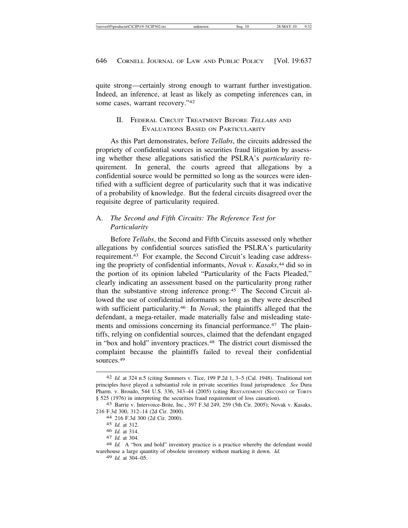quite strong—certainly strong enough to warrant further investigation. Indeed, an inference, at least as likely as competing inferences can, in some cases, warrant recovery."42

### II. FEDERAL CIRCUIT TREATMENT BEFORE <sup>T</sup>ELLABS AND EVALUATIONS BASED ON PARTICULARITY

As this Part demonstrates, before *Tellabs*, the circuits addressed the propriety of confidential sources in securities fraud litigation by assessing whether these allegations satisfied the PSLRA's *particularity* requirement. In general, the courts agreed that allegations by a confidential source would be permitted so long as the sources were identified with a sufficient degree of particularity such that it was indicative of a probability of knowledge. But the federal circuits disagreed over the requisite degree of particularity required.

# A. *The Second and Fifth Circuits: The Reference Test for Particularity*

Before *Tellabs*, the Second and Fifth Circuits assessed only whether allegations by confidential sources satisfied the PSLRA's particularity requirement.43 For example, the Second Circuit's leading case addressing the propriety of confidential informants, *Novak v. Kasaks*, 44 did so in the portion of its opinion labeled "Particularity of the Facts Pleaded," clearly indicating an assessment based on the particularity prong rather than the substantive strong inference prong.45 The Second Circuit allowed the use of confidential informants so long as they were described with sufficient particularity.46 In *Novak*, the plaintiffs alleged that the defendant, a mega-retailer, made materially false and misleading statements and omissions concerning its financial performance.<sup>47</sup> The plaintiffs, relying on confidential sources, claimed that the defendant engaged in "box and hold" inventory practices.48 The district court dismissed the complaint because the plaintiffs failed to reveal their confidential sources.49

<sup>42</sup> *Id.* at 324 n.5 (citing Summers v. Tice, 199 P.2d 1, 3–5 (Cal. 1948). Traditional tort principles have played a substantial role in private securities fraud jurisprudence. *See* Dura Pharm. v. Broudo, 544 U.S. 336, 343–44 (2005) (citing RESTATEMENT (SECOND) OF TORTS § 525 (1976) in interpreting the securities fraud requirement of loss causation).<br>43 Barrie v. Intervoice-Brite, Inc., 397 F.3d 249, 259 (5th Cir. 2005); Novak v. Kasaks,

<sup>216</sup> F.3d 300, 312–14 (2d Cir. 2000). <sup>44</sup> 216 F.3d 300 (2d Cir. 2000).

<sup>45</sup> *Id.* at 312.

<sup>46</sup> *Id.* at 314.<br>47 *Id.* at 304.<br>48 *Id.* A "box and hold" inventory practice is a practice whereby the defendant would warehouse a large quantity of obsolete inventory without marking it down. *Id.*

<sup>49</sup> *Id.* at 304–05.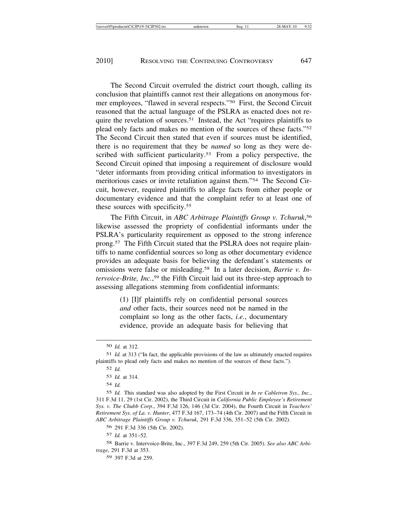The Second Circuit overruled the district court though, calling its conclusion that plaintiffs cannot rest their allegations on anonymous former employees, "flawed in several respects."50 First, the Second Circuit reasoned that the actual language of the PSLRA as enacted does not require the revelation of sources.51 Instead, the Act "requires plaintiffs to plead only facts and makes no mention of the sources of these facts."52 The Second Circuit then stated that even if sources must be identified, there is no requirement that they be *named* so long as they were described with sufficient particularity.<sup>53</sup> From a policy perspective, the Second Circuit opined that imposing a requirement of disclosure would "deter informants from providing critical information to investigators in meritorious cases or invite retaliation against them."54 The Second Circuit, however, required plaintiffs to allege facts from either people or documentary evidence and that the complaint refer to at least one of these sources with specificity.55

The Fifth Circuit, in *ABC Arbitrage Plaintiffs Group v. Tchuruk*, 56 likewise assessed the propriety of confidential informants under the PSLRA's particularity requirement as opposed to the strong inference prong.57 The Fifth Circuit stated that the PSLRA does not require plaintiffs to name confidential sources so long as other documentary evidence provides an adequate basis for believing the defendant's statements or omissions were false or misleading.58 In a later decision, *Barrie v. Intervoice-Brite, Inc.*, <sup>59</sup> the Fifth Circuit laid out its three-step approach to assessing allegations stemming from confidential informants:

> (1) [I]f plaintiffs rely on confidential personal sources *and* other facts, their sources need not be named in the complaint so long as the other facts, *i.e.*, documentary evidence, provide an adequate basis for believing that

54 *Id.*

55 *Id.* This standard was also adopted by the First Circuit in *In re Cabletron Sys., Inc.*, 311 F.3d 11, 29 (1st Cir. 2002), the Third Circuit in *California Public Employee's Retirement Sys. v. The Chubb Corp*., 394 F.3d 126, 146 (3d Cir. 2004), the Fourth Circuit in *Teachers' Retirement Sys. of La. v. Hunter*, 477 F.3d 167, 173–74 (4th Cir. 2007) and the Fifth Circuit in *ABC Arbitrage Plaintiffs Group v. Tchuruk*, 291 F.3d 336, 351–52 (5th Cir. 2002).

56 291 F.3d 336 (5th Cir. 2002).

57 *Id.* at 351–52.

58 Barrie v. Intervoice-Brite, Inc., 397 F.3d 249, 259 (5th Cir. 2005). *See also ABC Arbitrage*, 291 F.3d at 353.

59 397 F.3d at 259.

<sup>50</sup> *Id.* at 312.

<sup>51</sup> *Id.* at 313 ("In fact, the applicable provisions of the law as ultimately enacted requires plaintiffs to plead only facts and makes no mention of the sources of these facts.").

<sup>52</sup> *Id.*

<sup>53</sup> *Id.* at 314.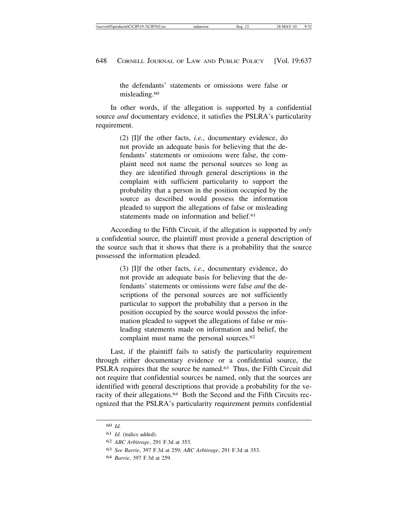the defendants' statements or omissions were false or misleading.60

In other words, if the allegation is supported by a confidential source *and* documentary evidence, it satisfies the PSLRA's particularity requirement.

> (2) [I]f the other facts, *i.e.*, documentary evidence, do not provide an adequate basis for believing that the defendants' statements or omissions were false, the complaint need not name the personal sources so long as they are identified through general descriptions in the complaint with sufficient particularity to support the probability that a person in the position occupied by the source as described would possess the information pleaded to support the allegations of false or misleading statements made on information and belief<sup>61</sup>

According to the Fifth Circuit, if the allegation is supported by *only* a confidential source, the plaintiff must provide a general description of the source such that it shows that there is a probability that the source possessed the information pleaded.

> (3) [I]f the other facts, *i.e.*, documentary evidence, do not provide an adequate basis for believing that the defendants' statements or omissions were false *and* the descriptions of the personal sources are not sufficiently particular to support the probability that a person in the position occupied by the source would possess the information pleaded to support the allegations of false or misleading statements made on information and belief, the complaint must name the personal sources.<sup>62</sup>

Last, if the plaintiff fails to satisfy the particularity requirement through either documentary evidence or a confidential source, the PSLRA requires that the source be named.<sup>63</sup> Thus, the Fifth Circuit did not require that confidential sources be named, only that the sources are identified with general descriptions that provide a probability for the veracity of their allegations.64 Both the Second and the Fifth Circuits recognized that the PSLRA's particularity requirement permits confidential

<sup>60</sup> *Id.*

<sup>61</sup> *Id.* (italics added).

<sup>62</sup> *ABC Arbitrage*, 291 F.3d at 353.

<sup>63</sup> *See Barrie*, 397 F.3d at 259; *ABC Arbitrage*, 291 F.3d at 353.

<sup>64</sup> *Barrie*, 397 F.3d at 259.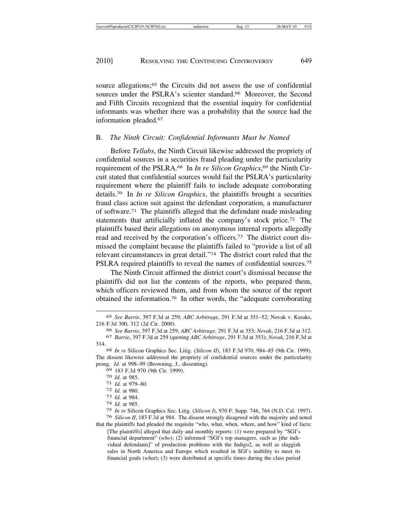source allegations;<sup>65</sup> the Circuits did not assess the use of confidential sources under the PSLRA's scienter standard.<sup>66</sup> Moreover, the Second and Fifth Circuits recognized that the essential inquiry for confidential informants was whether there was a probability that the source had the information pleaded.67

#### B. *The Ninth Circuit: Confidential Informants Must be Named*

Before *Tellabs*, the Ninth Circuit likewise addressed the propriety of confidential sources in a securities fraud pleading under the particularity requirement of the PSLRA.68 In *In re Silicon Graphics*, <sup>69</sup> the Ninth Circuit stated that confidential sources would fail the PSLRA's particularity requirement where the plaintiff fails to include adequate corroborating details.70 In *In re Silicon Graphics*, the plaintiffs brought a securities fraud class action suit against the defendant corporation, a manufacturer of software.71 The plaintiffs alleged that the defendant made misleading statements that artificially inflated the company's stock price.<sup>72</sup> The plaintiffs based their allegations on anonymous internal reports allegedly read and received by the corporation's officers.73 The district court dismissed the complaint because the plaintiffs failed to "provide a list of all relevant circumstances in great detail."74 The district court ruled that the PSLRA required plaintiffs to reveal the names of confidential sources.<sup>75</sup>

The Ninth Circuit affirmed the district court's dismissal because the plaintiffs did not list the contents of the reports, who prepared them, which officers reviewed them, and from whom the source of the report obtained the information.76 In other words, the "adequate corroborating

<sup>69</sup> 183 F.3d 970 (9th Cir. 1999). <sup>70</sup> *Id.* at 985. <sup>71</sup> *Id.* at 979–80. <sup>72</sup> *Id.* at 980. <sup>73</sup> *Id.* at 984. <sup>74</sup> *Id.* at 985.

<sup>65</sup> *See Barrie*, 397 F.3d at 259; *ABC Arbitrag*e, 291 F.3d at 351–52; Novak v. Kasaks, 216 F.3d 300, 312 (2d Cir. 2000).

<sup>66</sup> *See Barrie*, 397 F.3d at 259; *ABC Arbitrage*, 291 F.3d at 353; *Novak*, 216 F.3d at 312.

<sup>67</sup> *Barrie*, 397 F.3d at 259 (quoting *ABC Arbitrage*, 291 F.3d at 353); *Novak*, 216 F.3d at 314.

<sup>68</sup> *In re* Silicon Graphics Sec. Litig. (*Silicon II*), 183 F.3d 970, 984–85 (9th Cir. 1999). The dissent likewise addressed the propriety of confidential sources under the particularity prong. *Id.* at 998–99 (Browning, J., dissenting).

<sup>75</sup> *In re* Silicon Graphics Sec. Litig. (*Silicon I*), 970 F. Supp. 746, 764 (N.D. Cal. 1997). 76 *Silicon II*, 183 F.3d at 984. The dissent strongly disagreed with the majority and noted that the plaintiffs had pleaded the requisite "who, what, when, where, and how" kind of facts:

<sup>[</sup>The plaintiffs] alleged that daily and monthly reports: (1) were prepared by "SGI's financial department" (*who*); (2) informed "SGI's top managers, such as [the individual defendants]" of production problems with the Indigo2, as well as sluggish sales in North America and Europe which resulted in SGI's inability to meet its financial goals (*what*); (3) were distributed at specific times during the class period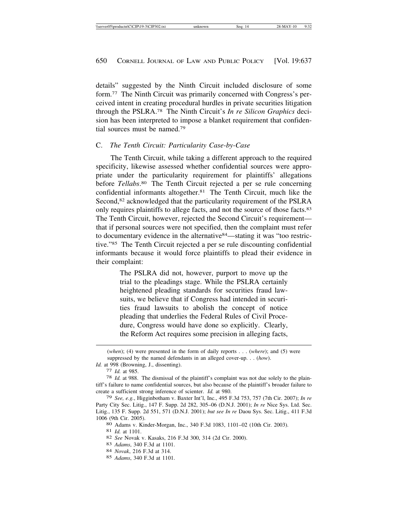details" suggested by the Ninth Circuit included disclosure of some form.77 The Ninth Circuit was primarily concerned with Congress's perceived intent in creating procedural hurdles in private securities litigation through the PSLRA.78 The Ninth Circuit's *In re Silicon Graphics* decision has been interpreted to impose a blanket requirement that confidential sources must be named.79

#### C. *The Tenth Circuit: Particularity Case-by-Case*

The Tenth Circuit, while taking a different approach to the required specificity, likewise assessed whether confidential sources were appropriate under the particularity requirement for plaintiffs' allegations before *Tellabs*. <sup>80</sup> The Tenth Circuit rejected a per se rule concerning confidential informants altogether.81 The Tenth Circuit, much like the Second,<sup>82</sup> acknowledged that the particularity requirement of the PSLRA only requires plaintiffs to allege facts, and not the source of those facts.83 The Tenth Circuit, however, rejected the Second Circuit's requirement that if personal sources were not specified, then the complaint must refer to documentary evidence in the alternative84—stating it was "too restrictive."85 The Tenth Circuit rejected a per se rule discounting confidential informants because it would force plaintiffs to plead their evidence in their complaint:

> The PSLRA did not, however, purport to move up the trial to the pleadings stage. While the PSLRA certainly heightened pleading standards for securities fraud lawsuits, we believe that if Congress had intended in securities fraud lawsuits to abolish the concept of notice pleading that underlies the Federal Rules of Civil Procedure, Congress would have done so explicitly. Clearly, the Reform Act requires some precision in alleging facts,

<sup>(</sup>*when*); (4) were presented in the form of daily reports . . . (*where*); and (5) were suppressed by the named defendants in an alleged cover-up. . . (*how*).

*Id.* at 998 (Browning, J., dissenting).<br>
77 *Id.* at 985.

<sup>77</sup> *Id.* at 985. <sup>78</sup> *Id.* at 988. The dismissal of the plaintiff's complaint was not due solely to the plaintiff's failure to name confidential sources, but also because of the plaintiff's broader failure to create a sufficient strong inference of scienter. *Id.* at 980.

<sup>79</sup> *See, e.g.*, Higginbotham v. Baxter Int'l, Inc., 495 F.3d 753, 757 (7th Cir. 2007); *In re* Party City Sec. Litig., 147 F. Supp. 2d 282, 305–06 (D.N.J. 2001); *In re* Nice Sys. Ltd. Sec. Litig*.*, 135 F. Supp. 2d 551, 571 (D.N.J. 2001); *but see In re* Daou Sys. Sec. Litig., 411 F.3d

<sup>1006 (9</sup>th Cir. 2005).<br>
<sup>80</sup> Adams v. Kinder-Morgan, Inc., 340 F.3d 1083, 1101-02 (10th Cir. 2003).<br>
<sup>81</sup> Id. at 1101.<br>
<sup>82</sup> See Novak v. Kasaks, 216 F.3d 300, 314 (2d Cir. 2000).<br>
<sup>83</sup> Adams, 340 F.3d at 1101.<br>
<sup>84</sup> Novak,

<sup>85</sup> *Adams*, 340 F.3d at 1101.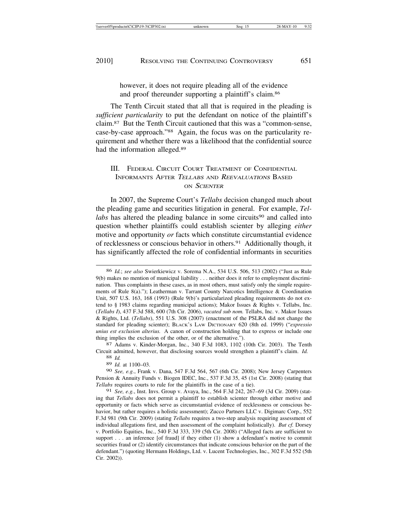however, it does not require pleading all of the evidence and proof thereunder supporting a plaintiff's claim.86

The Tenth Circuit stated that all that is required in the pleading is *sufficient particularity* to put the defendant on notice of the plaintiff's claim.87 But the Tenth Circuit cautioned that this was a "common-sense, case-by-case approach."88 Again, the focus was on the particularity requirement and whether there was a likelihood that the confidential source had the information alleged.89

### III. FEDERAL CIRCUIT COURT TREATMENT OF CONFIDENTIAL INFORMANTS AFTER <sup>T</sup>ELLABS AND <sup>R</sup>EEVALUATIONS BASED ON SCIENTER

In 2007, the Supreme Court's *Tellabs* decision changed much about the pleading game and securities litigation in general. For example, *Tellabs* has altered the pleading balance in some circuits<sup>90</sup> and called into question whether plaintiffs could establish scienter by alleging *either* motive and opportunity *or* facts which constitute circumstantial evidence of recklessness or conscious behavior in others.<sup>91</sup> Additionally though, it has significantly affected the role of confidential informants in securities

Circuit admitted, however, that disclosing sources would strengthen a plaintiff's claim. *Id.* <sup>88</sup> *Id.*

89 *Id.* at 1100–03.

90 *See, e.g.*, Frank v. Dana, 547 F.3d 564, 567 (6th Cir. 2008); New Jersey Carpenters Pension & Annuity Funds v. Biogen IDEC, Inc*.*, 537 F.3d 35, 45 (1st Cir. 2008) (stating that *Tellabs* requires courts to rule for the plaintiffs in the case of a tie).

91 *See, e.g.*, Inst. Invs. Group v. Avaya, Inc*.*, 564 F.3d 242, 267–69 (3d Cir. 2009) (stating that *Tellabs* does not permit a plaintiff to establish scienter through either motive and opportunity or facts which serve as circumstantial evidence of recklessness or conscious behavior, but rather requires a holistic assessment); Zucco Partners LLC v. Digimarc Corp., 552 F.3d 981 (9th Cir. 2009) (stating *Tellabs* requires a two-step analysis requiring assessment of individual allegations first, and then assessment of the complaint holistically). *But cf.* Dorsey v. Portfolio Equities, Inc*.*, 540 F.3d 333, 339 (5th Cir. 2008) ("Alleged facts are sufficient to support . . . an inference [of fraud] if they either  $(1)$  show a defendant's motive to commit securities fraud or (2) identify circumstances that indicate conscious behavior on the part of the defendant.") (quoting Hermann Holdings, Ltd. v. Lucent Technologies, Inc., 302 F.3d 552 (5th Cir. 2002)).

<sup>86</sup> *Id.*; *see also* Swierkiewicz v. Sorema N.A., 534 U.S. 506, 513 (2002) ("Just as Rule 9(b) makes no mention of municipal liability . . . neither does it refer to employment discrimination. Thus complaints in these cases, as in most others, must satisfy only the simple requirements of Rule 8(a)."); Leatherman v. Tarrant County Narcotics Intelligence & Coordination Unit, 507 U.S. 163, 168 (1993) (Rule 9(b)'s particularized pleading requirements do not extend to § 1983 claims regarding municipal actions); Makor Issues & Rights v. Tellabs, Inc. (*Tellabs I*), 437 F.3d 588, 600 (7th Cir. 2006), *vacated sub nom.* Tellabs, Inc. v. Makor Issues & Rights, Ltd. (*Tellabs*), 551 U.S. 308 (2007) (enactment of the PSLRA did not change the standard for pleading scienter); BLACK'S LAW DICTIONARY 620 (8th ed. 1999) ("*expressio unius est exclusion alterius.* A canon of construction holding that to express or include one thing implies the exclusion of the other, or of the alternative.").<br><sup>87</sup> Adams v. Kinder-Morgan, Inc., 340 F.3d 1083, 1102 (10th Cir. 2003). The Tenth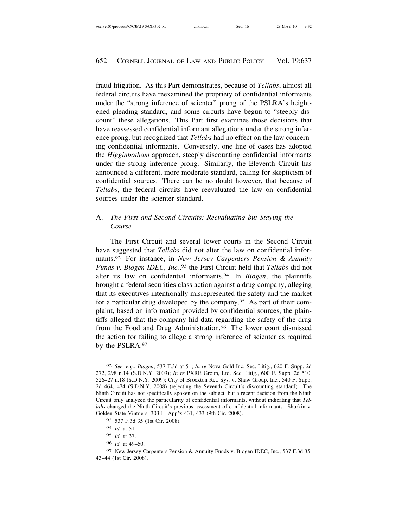fraud litigation. As this Part demonstrates, because of *Tellabs*, almost all federal circuits have reexamined the propriety of confidential informants under the "strong inference of scienter" prong of the PSLRA's heightened pleading standard, and some circuits have begun to "steeply discount" these allegations. This Part first examines those decisions that have reassessed confidential informant allegations under the strong inference prong, but recognized that *Tellabs* had no effect on the law concerning confidential informants. Conversely, one line of cases has adopted the *Higginbotham* approach, steeply discounting confidential informants under the strong inference prong. Similarly, the Eleventh Circuit has announced a different, more moderate standard, calling for skepticism of confidential sources. There can be no doubt however, that because of *Tellabs*, the federal circuits have reevaluated the law on confidential sources under the scienter standard.

# A. *The First and Second Circuits: Reevaluating but Staying the Course*

The First Circuit and several lower courts in the Second Circuit have suggested that *Tellabs* did not alter the law on confidential informants.92 For instance, in *New Jersey Carpenters Pension & Annuity Funds v. Biogen IDEC, Inc.*, <sup>93</sup> the First Circuit held that *Tellabs* did not alter its law on confidential informants.94 In *Biogen*, the plaintiffs brought a federal securities class action against a drug company, alleging that its executives intentionally misrepresented the safety and the market for a particular drug developed by the company.95 As part of their complaint, based on information provided by confidential sources, the plaintiffs alleged that the company hid data regarding the safety of the drug from the Food and Drug Administration.<sup>96</sup> The lower court dismissed the action for failing to allege a strong inference of scienter as required by the PSLRA.97

96 *Id.* at 49–50.

97 New Jersey Carpenters Pension & Annuity Funds v. Biogen IDEC, Inc*.*, 537 F.3d 35, 43–44 (1st Cir. 2008).

<sup>92</sup> *See, e.g.*, *Biogen*, 537 F.3d at 51; *In re* Nova Gold Inc. Sec. Litig., 620 F. Supp. 2d 272, 298 n.14 (S.D.N.Y. 2009); *In re* PXRE Group, Ltd. Sec. Litig., 600 F. Supp. 2d 510, 526–27 n.18 (S.D.N.Y. 2009); City of Brockton Ret. Sys. v. Shaw Group, Inc*.*, 540 F. Supp. 2d 464, 474 (S.D.N.Y. 2008) (rejecting the Seventh Circuit's discounting standard). The Ninth Circuit has not specifically spoken on the subject, but a recent decision from the Ninth Circuit only analyzed the particularity of confidential informants, without indicating that *Tellabs* changed the Ninth Circuit's previous assessment of confidential informants. Shurkin v. Golden State Vintners, 303 F. App'x 431, 433 (9th Cir. 2008).

<sup>93</sup> 537 F.3d 35 (1st Cir. 2008).

<sup>94</sup> *Id.* at 51.

<sup>95</sup> *Id.* at 37.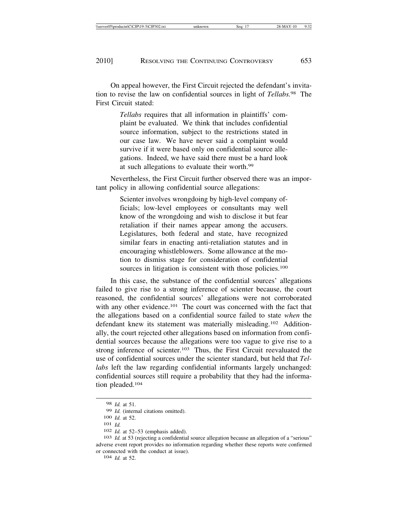On appeal however, the First Circuit rejected the defendant's invitation to revise the law on confidential sources in light of *Tellabs.*98 The First Circuit stated:

> *Tellabs* requires that all information in plaintiffs' complaint be evaluated. We think that includes confidential source information, subject to the restrictions stated in our case law. We have never said a complaint would survive if it were based only on confidential source allegations. Indeed, we have said there must be a hard look at such allegations to evaluate their worth.99

Nevertheless, the First Circuit further observed there was an important policy in allowing confidential source allegations:

> Scienter involves wrongdoing by high-level company officials; low-level employees or consultants may well know of the wrongdoing and wish to disclose it but fear retaliation if their names appear among the accusers. Legislatures, both federal and state, have recognized similar fears in enacting anti-retaliation statutes and in encouraging whistleblowers. Some allowance at the motion to dismiss stage for consideration of confidential sources in litigation is consistent with those policies.<sup>100</sup>

In this case, the substance of the confidential sources' allegations failed to give rise to a strong inference of scienter because, the court reasoned, the confidential sources' allegations were not corroborated with any other evidence.<sup>101</sup> The court was concerned with the fact that the allegations based on a confidential source failed to state *when* the defendant knew its statement was materially misleading.102 Additionally, the court rejected other allegations based on information from confidential sources because the allegations were too vague to give rise to a strong inference of scienter.<sup>103</sup> Thus, the First Circuit reevaluated the use of confidential sources under the scienter standard, but held that *Tellabs* left the law regarding confidential informants largely unchanged: confidential sources still require a probability that they had the information pleaded.104

<sup>98</sup> *Id.* at 51.

<sup>100</sup> *Id.* at 52.<br>
101 *Id.* <br>
102 *Id.* at 52–53 (emphasis added). <br>
103 *Id.* at 53 (rejecting a confidential source allegation because an allegation of a "serious" adverse event report provides no information regarding whether these reports were confirmed or connected with the conduct at issue). <sup>104</sup> *Id.* at 52.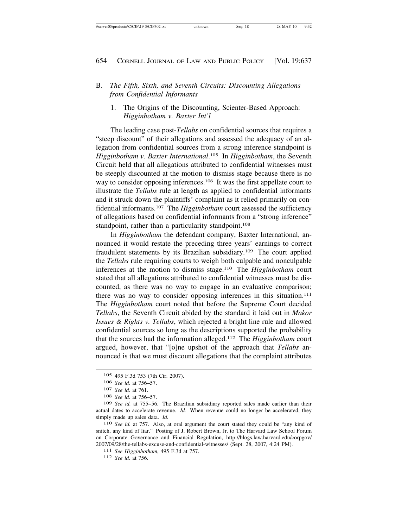#### B. *The Fifth, Sixth, and Seventh Circuits: Discounting Allegations from Confidential Informants*

1. The Origins of the Discounting, Scienter-Based Approach: *Higginbotham v. Baxter Int'l*

The leading case post-*Tellabs* on confidential sources that requires a "steep discount" of their allegations and assessed the adequacy of an allegation from confidential sources from a strong inference standpoint is *Higginbotham v. Baxter International*. <sup>105</sup> In *Higginbotham*, the Seventh Circuit held that all allegations attributed to confidential witnesses must be steeply discounted at the motion to dismiss stage because there is no way to consider opposing inferences.<sup>106</sup> It was the first appellate court to illustrate the *Tellabs* rule at length as applied to confidential informants and it struck down the plaintiffs' complaint as it relied primarily on confidential informants.107 The *Higginbotham* court assessed the sufficiency of allegations based on confidential informants from a "strong inference" standpoint, rather than a particularity standpoint.<sup>108</sup>

In *Higginbotham* the defendant company, Baxter International, announced it would restate the preceding three years' earnings to correct fraudulent statements by its Brazilian subsidiary.109 The court applied the *Tellabs* rule requiring courts to weigh both culpable and nonculpable inferences at the motion to dismiss stage.110 The *Higginbotham* court stated that all allegations attributed to confidential witnesses must be discounted, as there was no way to engage in an evaluative comparison; there was no way to consider opposing inferences in this situation.<sup>111</sup> The *Higginbotham* court noted that before the Supreme Court decided *Tellabs*, the Seventh Circuit abided by the standard it laid out in *Makor Issues & Rights v. Tellabs*, which rejected a bright line rule and allowed confidential sources so long as the descriptions supported the probability that the sources had the information alleged.112 The *Higginbotham* court argued, however, that "[o]ne upshot of the approach that *Tellabs* announced is that we must discount allegations that the complaint attributes

snitch, any kind of liar." Posting of J. Robert Brown, Jr. to The Harvard Law School Forum on Corporate Governance and Financial Regulation, http://blogs.law.harvard.edu/corpgov/ 2007/09/28/the-tellabs-excuse-and-confidential-witnesses/ (Sept. 28, 2007, 4:24 PM). <sup>111</sup> *See Higginbotham*, 495 F.3d at 757. <sup>112</sup> *See id.* at 756.

<sup>105</sup> 495 F.3d 753 (7th Cir. 2007).

<sup>106</sup> *See id.* at 756–57.

<sup>107</sup> *See id.* at 761.

<sup>108</sup> *See id.* at 756–57.

<sup>109</sup> *See id.* at 755–56. The Brazilian subsidiary reported sales made earlier than their actual dates to accelerate revenue. *Id.* When revenue could no longer be accelerated, they simply made up sales data. *Id.* 110 *See id.* at 757. Also, at oral argument the court stated they could be "any kind of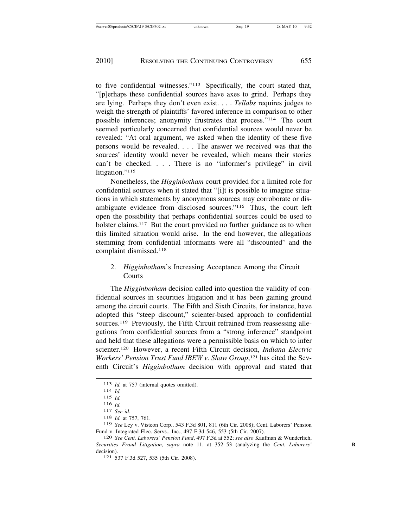to five confidential witnesses."113 Specifically, the court stated that, "[p]erhaps these confidential sources have axes to grind. Perhaps they are lying. Perhaps they don't even exist. . . . *Tellabs* requires judges to weigh the strength of plaintiffs' favored inference in comparison to other possible inferences; anonymity frustrates that process."114 The court seemed particularly concerned that confidential sources would never be revealed: "At oral argument, we asked when the identity of these five persons would be revealed. . . . The answer we received was that the sources' identity would never be revealed, which means their stories can't be checked. . . . There is no "informer's privilege" in civil litigation."<sup>115</sup>

Nonetheless, the *Higginbotham* court provided for a limited role for confidential sources when it stated that "[i]t is possible to imagine situations in which statements by anonymous sources may corroborate or disambiguate evidence from disclosed sources."116 Thus, the court left open the possibility that perhaps confidential sources could be used to bolster claims.117 But the court provided no further guidance as to when this limited situation would arise. In the end however, the allegations stemming from confidential informants were all "discounted" and the complaint dismissed.118

### 2. *Higginbotham*'s Increasing Acceptance Among the Circuit **Courts**

The *Higginbotham* decision called into question the validity of confidential sources in securities litigation and it has been gaining ground among the circuit courts. The Fifth and Sixth Circuits, for instance, have adopted this "steep discount," scienter-based approach to confidential sources.<sup>119</sup> Previously, the Fifth Circuit refrained from reassessing allegations from confidential sources from a "strong inference" standpoint and held that these allegations were a permissible basis on which to infer scienter.120 However, a recent Fifth Circuit decision, *Indiana Electric Workers' Pension Trust Fund IBEW v. Shaw Group*, 121 has cited the Seventh Circuit's *Higginbotham* decision with approval and stated that

<sup>113</sup> *Id.* at 757 (internal quotes omitted). <sup>114</sup> *Id.*

 $\frac{115}{116}$  *Id.* 

<sup>116</sup> *Id.* <sup>117</sup> *See id.* <sup>118</sup> *Id.* at 757, 761.

<sup>119</sup> *See* Ley v. Visteon Corp., 543 F.3d 801, 811 (6th Cir. 2008); Cent. Laborers' Pension

Fund v. Integrated Elec. Servs., Inc., 497 F.3d 546, 553 (5th Cir. 2007). <sup>120</sup> *See Cent. Laborers' Pension Fund*, 497 F.3d at 552; *see also* Kaufman & Wunderlich, *Securities Fraud Litigation, supra* note 11, at 352–53 (analyzing the *Cent. Laborers'* decision). <sup>121</sup> 537 F.3d 527, 535 (5th Cir. 2008).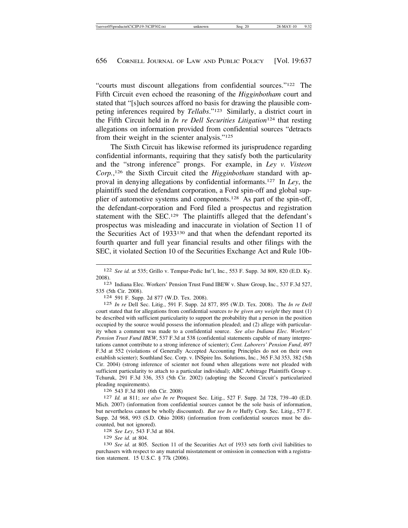"courts must discount allegations from confidential sources."122 The Fifth Circuit even echoed the reasoning of the *Higginbotham* court and stated that "[s]uch sources afford no basis for drawing the plausible competing inferences required by *Tellabs*."123 Similarly, a district court in the Fifth Circuit held in *In re Dell Securities Litigation*124 that resting allegations on information provided from confidential sources "detracts from their weight in the scienter analysis."125

The Sixth Circuit has likewise reformed its jurisprudence regarding confidential informants, requiring that they satisfy both the particularity and the "strong inference" prongs. For example, in *Ley v. Visteon Corp.*, <sup>126</sup> the Sixth Circuit cited the *Higginbotham* standard with approval in denying allegations by confidential informants.127 In *Ley*, the plaintiffs sued the defendant corporation, a Ford spin-off and global supplier of automotive systems and components.128 As part of the spin-off, the defendant-corporation and Ford filed a prospectus and registration statement with the SEC.129 The plaintiffs alleged that the defendant's prospectus was misleading and inaccurate in violation of Section 11 of the Securities Act of 1933130 and that when the defendant reported its fourth quarter and full year financial results and other filings with the SEC, it violated Section 10 of the Securities Exchange Act and Rule 10b-

535 (5th Cir. 2008). <sup>124</sup> 591 F. Supp. 2d 877 (W.D. Tex. 2008).

125 *In re* Dell Sec. Litig*.*, 591 F. Supp. 2d 877, 895 (W.D. Tex. 2008). The *In re Dell* court stated that for allegations from confidential sources *to be given any weight* they must (1) be described with sufficient particularity to support the probability that a person in the position occupied by the source would possess the information pleaded; and (2) allege with particularity when a comment was made to a confidential source. *See also Indiana Elec. Workers' Pension Trust Fund IBEW*, 537 F.3d at 538 (confidential statements capable of many interpretations cannot contribute to a strong inference of scienter); *Cent. Laborers' Pension Fund*, 497 F.3d at 552 (violations of Generally Accepted Accounting Principles do not on their own establish scienter); Southland Sec. Corp. v. INSpire Ins. Solutions, Inc*.*, 365 F.3d 353, 382 (5th Cir. 2004) (strong inference of scienter not found when allegations were not pleaded with sufficient particularity to attach to a particular individual); ABC Arbitrage Plaintiffs Group v. Tchuruk, 291 F.3d 336, 353 (5th Cir. 2002) (adopting the Second Circuit's particularized pleading requirements).

<sup>126</sup> 543 F.3d 801 (6th Cir. 2008) <sup>127</sup> *Id.* at 811; *see also In re* Proquest Sec. Litig*.*, 527 F. Supp. 2d 728, 739–40 (E.D. Mich. 2007) (information from confidential sources cannot be the sole basis of information, but nevertheless cannot be wholly discounted). *But see In re* Huffy Corp. Sec. Litig., 577 F. Supp. 2d 968, 993 (S.D. Ohio 2008) (information from confidential sources must be discounted, but not ignored). <sup>128</sup> *See Ley*, 543 F.3d at 804.

<sup>130</sup> *See id.* at 805. Section 11 of the Securities Act of 1933 sets forth civil liabilities to purchasers with respect to any material misstatement or omission in connection with a registration statement. 15 U.S.C. § 77k (2006).

<sup>122</sup> *See id.* at 535; Grillo v. Tempur-Pedic Int'l, Inc*.*, 553 F. Supp. 3d 809, 820 (E.D. Ky.

<sup>2008).&</sup>lt;br><sup>123</sup> Indiana Elec. Workers' Pension Trust Fund IBEW v. Shaw Group, Inc., 537 F.3d 527,<br>535 (5th Cir. 2008).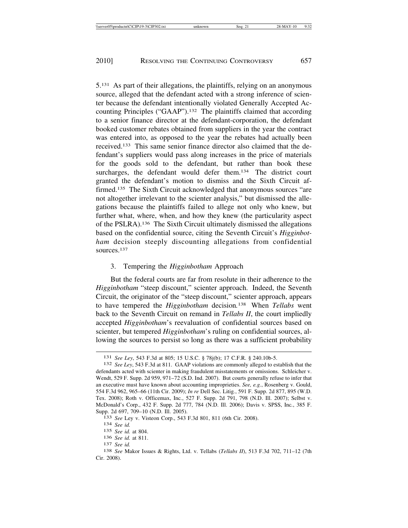5.131 As part of their allegations, the plaintiffs, relying on an anonymous source, alleged that the defendant acted with a strong inference of scienter because the defendant intentionally violated Generally Accepted Accounting Principles ("GAAP").132 The plaintiffs claimed that according to a senior finance director at the defendant-corporation, the defendant booked customer rebates obtained from suppliers in the year the contract was entered into, as opposed to the year the rebates had actually been received.133 This same senior finance director also claimed that the defendant's suppliers would pass along increases in the price of materials for the goods sold to the defendant, but rather than book these surcharges, the defendant would defer them.<sup>134</sup> The district court granted the defendant's motion to dismiss and the Sixth Circuit affirmed.135 The Sixth Circuit acknowledged that anonymous sources "are not altogether irrelevant to the scienter analysis," but dismissed the allegations because the plaintiffs failed to allege not only who knew, but further what, where, when, and how they knew (the particularity aspect of the PSLRA).136 The Sixth Circuit ultimately dismissed the allegations based on the confidential source, citing the Seventh Circuit's *Higginbotham* decision steeply discounting allegations from confidential sources.137

#### 3. Tempering the *Higginbotham* Approach

But the federal courts are far from resolute in their adherence to the *Higginbotham* "steep discount," scienter approach. Indeed, the Seventh Circuit, the originator of the "steep discount," scienter approach, appears to have tempered the *Higginbotham* decision*.* 138 When *Tellabs* went back to the Seventh Circuit on remand in *Tellabs II*, the court impliedly accepted *Higginbotham*'s reevaluation of confidential sources based on scienter, but tempered *Higginbotham*'s ruling on confidential sources, allowing the sources to persist so long as there was a sufficient probability

<sup>131</sup> *See Ley*, 543 F.3d at 805; 15 U.S.C. § 78j(b); 17 C.F.R. § 240.10b-5. <sup>132</sup> *See Ley*, 543 F.3d at 811. GAAP violations are commonly alleged to establish that the

defendants acted with scienter in making fraudulent misstatements or omissions. Schleicher v. Wendt, 529 F. Supp. 2d 959, 971–72 (S.D. Ind. 2007). But courts generally refuse to infer that an executive must have known about accounting improprieties. *See, e.g.*, Rosenberg v. Gould, 554 F.3d 962, 965–66 (11th Cir. 2009); *In re* Dell Sec. Litig*.*, 591 F. Supp. 2d 877, 895 (W.D. Tex. 2008); Roth v. Officemax, Inc*.*, 527 F. Supp. 2d 791, 798 (N.D. Ill. 2007); Selbst v. McDonald's Corp., 432 F. Supp. 2d 777, 784 (N.D. Ill. 2006); Davis v. SPSS, Inc*.*, 385 F. Supp. 2d 697, 709–10 (N.D. Ill. 2005). <sup>133</sup> *See* Ley v. Visteon Corp., 543 F.3d 801, 811 (6th Cir. 2008). <sup>134</sup> *See id.*

<sup>135</sup> *See id.* at 804.

<sup>136</sup> *See id.* at 811. <sup>137</sup> *See id.* <sup>138</sup> *See* Makor Issues & Rights, Ltd. v. Tellabs (*Tellabs II*), 513 F.3d 702, 711–12 (7th Cir. 2008).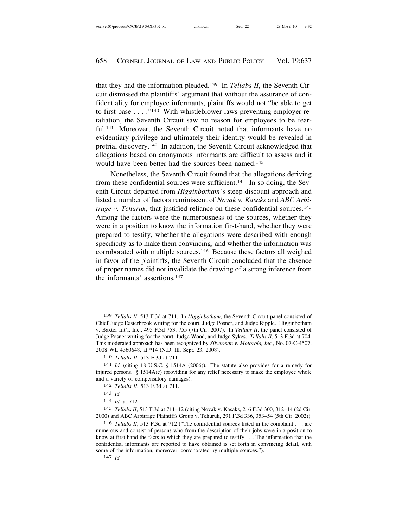that they had the information pleaded.139 In *Tellabs II*, the Seventh Circuit dismissed the plaintiffs' argument that without the assurance of confidentiality for employee informants, plaintiffs would not "be able to get to first base . . . ."<sup>140</sup> With whistleblower laws preventing employer retaliation, the Seventh Circuit saw no reason for employees to be fearful.<sup>141</sup> Moreover, the Seventh Circuit noted that informants have no evidentiary privilege and ultimately their identity would be revealed in pretrial discovery.142 In addition, the Seventh Circuit acknowledged that allegations based on anonymous informants are difficult to assess and it would have been better had the sources been named.<sup>143</sup>

Nonetheless, the Seventh Circuit found that the allegations deriving from these confidential sources were sufficient.144 In so doing, the Seventh Circuit departed from *Higginbotham*'s steep discount approach and listed a number of factors reminiscent of *Novak v. Kasaks* and *ABC Arbitrage v. Tchuruk*, that justified reliance on these confidential sources.<sup>145</sup> Among the factors were the numerousness of the sources, whether they were in a position to know the information first-hand, whether they were prepared to testify, whether the allegations were described with enough specificity as to make them convincing, and whether the information was corroborated with multiple sources.146 Because these factors all weighed in favor of the plaintiffs, the Seventh Circuit concluded that the absence of proper names did not invalidate the drawing of a strong inference from the informants' assertions.147

142 *Tellabs II*, 513 F.3d at 711.

144 *Id.* at 712.

145 *Tellabs II*, 513 F.3d at 711–12 (citing Novak v. Kasaks, 216 F.3d 300, 312–14 (2d Cir. 2000) and ABC Arbitrage Plaintiffs Group v. Tchuruk, 291 F.3d 336, 353–54 (5th Cir. 2002)).

146 *Tellabs II*, 513 F.3d at 712 ("The confidential sources listed in the complaint . . . are numerous and consist of persons who from the description of their jobs were in a position to know at first hand the facts to which they are prepared to testify . . . The information that the confidential informants are reported to have obtained is set forth in convincing detail, with some of the information, moreover, corroborated by multiple sources.").

147 *Id.*

<sup>139</sup> *Tellabs II*, 513 F.3d at 711. In *Higginbotham*, the Seventh Circuit panel consisted of Chief Judge Easterbrook writing for the court, Judge Posner, and Judge Ripple. Higginbotham v. Baxter Int'l, Inc., 495 F.3d 753, 755 (7th Cir. 2007). In *Tellabs II*, the panel consisted of Judge Posner writing for the court, Judge Wood, and Judge Sykes. *Tellabs II*, 513 F.3d at 704. This moderated approach has been recognized by *Silverman v. Motorola, Inc.*, No. 07-C-4507, 2008 WL 4360648, at \*14 (N.D. Ill. Sept. 23, 2008).

<sup>140</sup> *Tellabs II*, 513 F.3d at 711*.*

<sup>141</sup> *Id.* (citing 18 U.S.C. § 1514A (2006)). The statute also provides for a remedy for injured persons. § 1514A(c) (providing for any relief necessary to make the employee whole and a variety of compensatory damages).

<sup>143</sup> *Id.*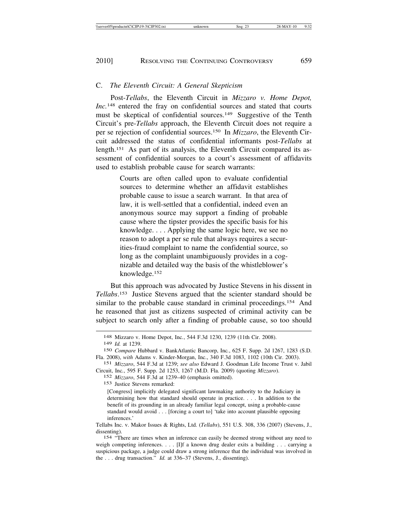#### C. *The Eleventh Circuit: A General Skepticism*

Post-*Tellabs*, the Eleventh Circuit in *Mizzaro v. Home Depot, Inc.*148 entered the fray on confidential sources and stated that courts must be skeptical of confidential sources.<sup>149</sup> Suggestive of the Tenth Circuit's pre-*Tellabs* approach, the Eleventh Circuit does not require a per se rejection of confidential sources.150 In *Mizzaro*, the Eleventh Circuit addressed the status of confidential informants post-*Tellabs* at length.151 As part of its analysis, the Eleventh Circuit compared its assessment of confidential sources to a court's assessment of affidavits used to establish probable cause for search warrants:

> Courts are often called upon to evaluate confidential sources to determine whether an affidavit establishes probable cause to issue a search warrant. In that area of law, it is well-settled that a confidential, indeed even an anonymous source may support a finding of probable cause where the tipster provides the specific basis for his knowledge. . . . Applying the same logic here, we see no reason to adopt a per se rule that always requires a securities-fraud complaint to name the confidential source, so long as the complaint unambiguously provides in a cognizable and detailed way the basis of the whistleblower's knowledge.152

But this approach was advocated by Justice Stevens in his dissent in *Tellabs*. 153 Justice Stevens argued that the scienter standard should be similar to the probable cause standard in criminal proceedings.<sup>154</sup> And he reasoned that just as citizens suspected of criminal activity can be subject to search only after a finding of probable cause, so too should

153 Justice Stevens remarked:

[Congress] implicitly delegated significant lawmaking authority to the Judiciary in determining how that standard should operate in practice. . . . In addition to the benefit of its grounding in an already familiar legal concept, using a probable-cause standard would avoid . . . [forcing a court to] 'take into account plausible opposing inferences.'

Tellabs Inc. v. Makor Issues & Rights, Ltd. (*Tellabs*), 551 U.S. 308, 336 (2007) (Stevens, J., dissenting).

154 "There are times when an inference can easily be deemed strong without any need to weigh competing inferences. . . . [I]f a known drug dealer exits a building . . . carrying a suspicious package, a judge could draw a strong inference that the individual was involved in the . . . drug transaction." *Id.* at 336–37 (Stevens, J., dissenting).

<sup>148</sup> Mizzaro v. Home Depot, Inc*.*, 544 F.3d 1230, 1239 (11th Cir. 2008).

<sup>149</sup> *Id.* at 1239.

<sup>150</sup> *Compare* Hubbard v. BankAtlantic Bancorp, Inc*.*, 625 F. Supp. 2d 1267, 1283 (S.D. Fla. 2008), *with* Adams v. Kinder-Morgan, Inc., 340 F.3d 1083, 1102 (10th Cir. 2003).

<sup>151</sup> *Mizzaro*, 544 F.3d at 1239; *see also* Edward J. Goodman Life Income Trust v. Jabil Circuit, Inc*.*, 595 F. Supp. 2d 1253, 1267 (M.D. Fla. 2009) (quoting *Mizzaro*).

<sup>152</sup> *Mizzaro*, 544 F.3d at 1239–40 (emphasis omitted).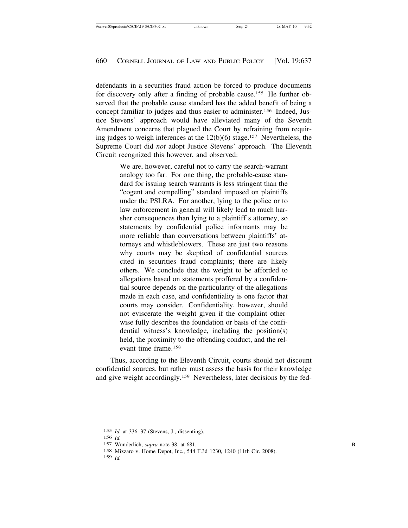defendants in a securities fraud action be forced to produce documents for discovery only after a finding of probable cause.155 He further observed that the probable cause standard has the added benefit of being a concept familiar to judges and thus easier to administer.156 Indeed, Justice Stevens' approach would have alleviated many of the Seventh Amendment concerns that plagued the Court by refraining from requiring judges to weigh inferences at the  $12(b)(6)$  stage.<sup>157</sup> Nevertheless, the Supreme Court did *not* adopt Justice Stevens' approach. The Eleventh Circuit recognized this however, and observed:

> We are, however, careful not to carry the search-warrant analogy too far. For one thing, the probable-cause standard for issuing search warrants is less stringent than the "cogent and compelling" standard imposed on plaintiffs under the PSLRA. For another, lying to the police or to law enforcement in general will likely lead to much harsher consequences than lying to a plaintiff's attorney, so statements by confidential police informants may be more reliable than conversations between plaintiffs' attorneys and whistleblowers. These are just two reasons why courts may be skeptical of confidential sources cited in securities fraud complaints; there are likely others. We conclude that the weight to be afforded to allegations based on statements proffered by a confidential source depends on the particularity of the allegations made in each case, and confidentiality is one factor that courts may consider. Confidentiality, however, should not eviscerate the weight given if the complaint otherwise fully describes the foundation or basis of the confidential witness's knowledge, including the position(s) held, the proximity to the offending conduct, and the relevant time frame.158

Thus, according to the Eleventh Circuit, courts should not discount confidential sources, but rather must assess the basis for their knowledge and give weight accordingly.159 Nevertheless, later decisions by the fed-

<sup>155</sup> *Id.* at 336–37 (Stevens, J., dissenting).

<sup>156</sup> *Id.*

<sup>157</sup> Wunderlich, *supra* note 38, at 681. **R**

<sup>158</sup> Mizzaro v. Home Depot, Inc*.*, 544 F.3d 1230, 1240 (11th Cir. 2008).

<sup>159</sup> *Id.*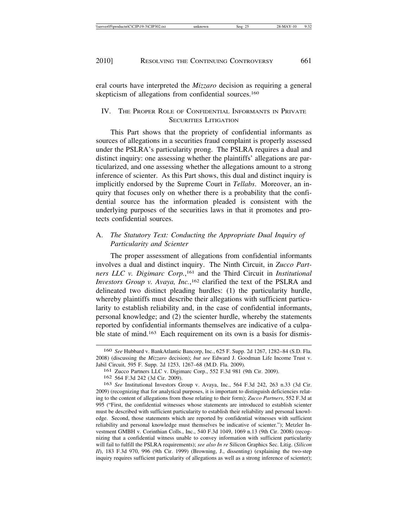eral courts have interpreted the *Mizzaro* decision as requiring a general skepticism of allegations from confidential sources.<sup>160</sup>

### IV. THE PROPER ROLE OF CONFIDENTIAL INFORMANTS IN PRIVATE SECURITIES LITIGATION

This Part shows that the propriety of confidential informants as sources of allegations in a securities fraud complaint is properly assessed under the PSLRA's particularity prong. The PSLRA requires a dual and distinct inquiry: one assessing whether the plaintiffs' allegations are particularized, and one assessing whether the allegations amount to a strong inference of scienter. As this Part shows, this dual and distinct inquiry is implicitly endorsed by the Supreme Court in *Tellabs*. Moreover, an inquiry that focuses only on whether there is a probability that the confidential source has the information pleaded is consistent with the underlying purposes of the securities laws in that it promotes and protects confidential sources.

# A. *The Statutory Text: Conducting the Appropriate Dual Inquiry of Particularity and Scienter*

The proper assessment of allegations from confidential informants involves a dual and distinct inquiry. The Ninth Circuit, in *Zucco Partners LLC v. Digimarc Corp.*, <sup>161</sup> and the Third Circuit in *Institutional Investors Group v. Avaya, Inc.*, <sup>162</sup> clarified the text of the PSLRA and delineated two distinct pleading hurdles: (1) the particularity hurdle, whereby plaintiffs must describe their allegations with sufficient particularity to establish reliability and, in the case of confidential informants, personal knowledge; and (2) the scienter hurdle, whereby the statements reported by confidential informants themselves are indicative of a culpable state of mind.<sup>163</sup> Each requirement on its own is a basis for dismis-

<sup>160</sup> *See* Hubbard v. BankAtlantic Bancorp, Inc*.*, 625 F. Supp. 2d 1267, 1282–84 (S.D. Fla. 2008) (discussing the *Mizzaro* decision); *but see* Edward J. Goodman Life Income Trust v. Jabil Circuit, 595 F. Supp. 2d 1253, 1267–68 (M.D. Fla. 2009).

<sup>161</sup> Zucco Partners LLC v. Digimarc Corp*.*, 552 F.3d 981 (9th Cir. 2009).

<sup>162</sup> 564 F.3d 242 (3d Cir. 2009).

<sup>163</sup> *See* Institutional Investors Group v. Avaya, Inc., 564 F.3d 242, 263 n.33 (3d Cir. 2009) (recognizing that for analytical purposes, it is important to distinguish deficiencies relating to the content of allegations from those relating to their form); *Zucco Partners*, 552 F.3d at 995 ("First, the confidential witnesses whose statements are introduced to establish scienter must be described with sufficient particularity to establish their reliability and personal knowledge. Second, those statements which are reported by confidential witnesses with sufficient reliability and personal knowledge must themselves be indicative of scienter."); Metzler Investment GMBH v. Corinthian Colls., Inc., 540 F.3d 1049, 1069 n.13 (9th Cir. 2008) (recognizing that a confidential witness unable to convey information with sufficient particularity will fail to fulfill the PSLRA requirements); *see also In re* Silicon Graphics Sec. Litig. (*Silicon II*), 183 F.3d 970, 996 (9th Cir. 1999) (Browning, J., dissenting) (explaining the two-step inquiry requires sufficient particularity of allegations as well as a strong inference of scienter);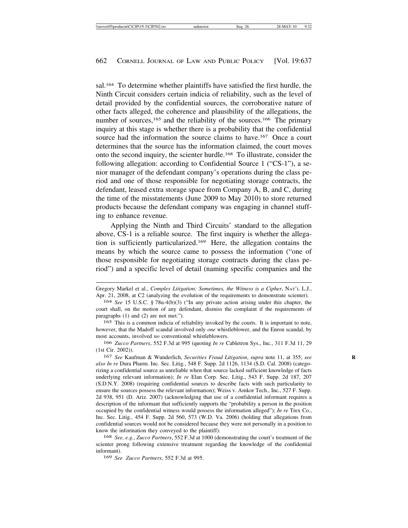sal.<sup>164</sup> To determine whether plaintiffs have satisfied the first hurdle, the Ninth Circuit considers certain indicia of reliability, such as the level of detail provided by the confidential sources, the corroborative nature of other facts alleged, the coherence and plausibility of the allegations, the number of sources,<sup>165</sup> and the reliability of the sources.<sup>166</sup> The primary inquiry at this stage is whether there is a probability that the confidential source had the information the source claims to have.<sup>167</sup> Once a court determines that the source has the information claimed, the court moves onto the second inquiry, the scienter hurdle.168 To illustrate, consider the following allegation: according to Confidential Source 1 ("CS-1"), a senior manager of the defendant company's operations during the class period and one of those responsible for negotiating storage contracts, the defendant, leased extra storage space from Company A, B, and C, during the time of the misstatements (June 2009 to May 2010) to store returned products because the defendant company was engaging in channel stuffing to enhance revenue.

Applying the Ninth and Third Circuits' standard to the allegation above, CS-1 is a reliable source. The first inquiry is whether the allegation is sufficiently particularized.169 Here, the allegation contains the means by which the source came to possess the information ("one of those responsible for negotiating storage contracts during the class period") and a specific level of detail (naming specific companies and the

168 *See, e.g.*, *Zucco Partners*, 552 F.3d at 1000 (demonstrating the court's treatment of the scienter prong following extensive treatment regarding the knowledge of the confidential informant).

169 *See Zucco Partners*, 552 F.3d at 995.

Gregory Markel et al., *Complex Litigation: Sometimes, the Witness is a Cipher*, NAT'L L.J., Apr. 21, 2008, at C2 (analyzing the evolution of the requirements to demonstrate scienter).

<sup>164</sup> *See* 15 U.S.C. § 78u-4(b)(3) ("In any private action arising under this chapter, the court shall, on the motion of any defendant, dismiss the complaint if the requirements of paragraphs (1) and (2) are not met.").

<sup>165</sup> This is a common indicia of reliability invoked by the courts. It is important to note, however, that the Madoff scandal involved only *one* whistleblower, and the Enron scandal, by most accounts, involved *no* conventional whistleblowers.

<sup>166</sup> *Zucco Partners*, 552 F.3d at 995 (quoting *In re* Cabletron Sys., Inc., 311 F.3d 11, 29 (1st Cir. 2002)).

<sup>167</sup> *See* Kaufman & Wunderlich, *Securities Fraud Litigation*, *supra* note 11, at 355; *see* **R** *also In re* Dura Pharm. Inc. Sec. Litig*.*, 548 F. Supp. 2d 1126, 1134 (S.D. Cal. 2008) (categorizing a confidential source as unreliable when that source lacked sufficient knowledge of facts underlying relevant information); *In re* Elan Corp. Sec. Litig*.*, 543 F. Supp. 2d 187, 207 (S.D.N.Y. 2008) (requiring confidential sources to describe facts with such particularity to ensure the sources possess the relevant information); Weiss v. Amkor Tech., Inc*.*, 527 F. Supp. 2d 938, 951 (D. Ariz. 2007) (acknowledging that use of a confidential informant requires a description of the informant that sufficiently supports the "probability a person in the position occupied by the confidential witness would possess the information alleged"); *In re* Trex Co., Inc. Sec. Litig*.*, 454 F. Supp. 2d 560, 573 (W.D. Va. 2006) (holding that allegations from confidential sources would not be considered because they were not personally in a position to know the information they conveyed to the plaintiff).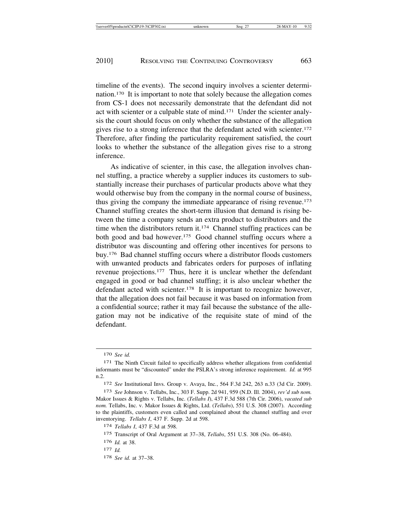timeline of the events). The second inquiry involves a scienter determination.170 It is important to note that solely because the allegation comes from CS-1 does not necessarily demonstrate that the defendant did not act with scienter or a culpable state of mind.171 Under the scienter analysis the court should focus on only whether the substance of the allegation gives rise to a strong inference that the defendant acted with scienter.<sup>172</sup> Therefore, after finding the particularity requirement satisfied, the court looks to whether the substance of the allegation gives rise to a strong inference.

As indicative of scienter, in this case, the allegation involves channel stuffing, a practice whereby a supplier induces its customers to substantially increase their purchases of particular products above what they would otherwise buy from the company in the normal course of business, thus giving the company the immediate appearance of rising revenue.173 Channel stuffing creates the short-term illusion that demand is rising between the time a company sends an extra product to distributors and the time when the distributors return it.174 Channel stuffing practices can be both good and bad however.<sup>175</sup> Good channel stuffing occurs where a distributor was discounting and offering other incentives for persons to buy.176 Bad channel stuffing occurs where a distributor floods customers with unwanted products and fabricates orders for purposes of inflating revenue projections.177 Thus, here it is unclear whether the defendant engaged in good or bad channel stuffing; it is also unclear whether the defendant acted with scienter.<sup>178</sup> It is important to recognize however, that the allegation does not fail because it was based on information from a confidential source; rather it may fail because the substance of the allegation may not be indicative of the requisite state of mind of the defendant.

178 *See id.* at 37–38.

<sup>170</sup> *See id.*

<sup>171</sup> The Ninth Circuit failed to specifically address whether allegations from confidential informants must be "discounted" under the PSLRA's strong inference requirement. *Id.* at 995 n.2.

<sup>172</sup> *See* Institutional Invs. Group v. Avaya, Inc*.*, 564 F.3d 242, 263 n.33 (3d Cir. 2009).

<sup>173</sup> *See* Johnson v. Tellabs, Inc., 303 F. Supp. 2d 941, 959 (N.D. Ill. 2004), *rev'd sub nom.* Makor Issues & Rights v. Tellabs, Inc. (*Tellabs I*), 437 F.3d 588 (7th Cir. 2006), *vacated sub nom.* Tellabs, Inc. v. Makor Issues & Rights, Ltd. (*Tellabs*), 551 U.S. 308 (2007). According to the plaintiffs, customers even called and complained about the channel stuffing and over inventorying. *Tellabs I*, 437 F. Supp. 2d at 598.

<sup>174</sup> *Tellabs I*, 437 F.3d at 598.

<sup>175</sup> Transcript of Oral Argument at 37–38, *Tellabs*, 551 U.S. 308 (No. 06-484).

<sup>176</sup> *Id.* at 38.

<sup>177</sup> *Id.*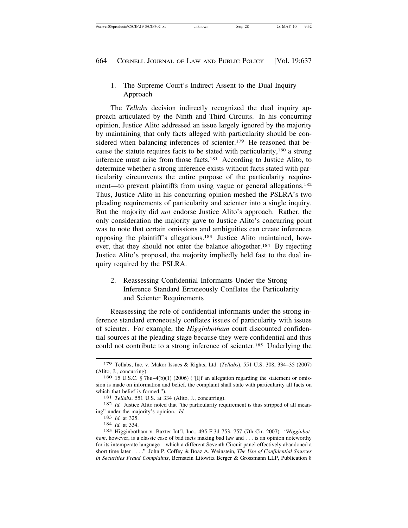# 1. The Supreme Court's Indirect Assent to the Dual Inquiry Approach

The *Tellabs* decision indirectly recognized the dual inquiry approach articulated by the Ninth and Third Circuits. In his concurring opinion, Justice Alito addressed an issue largely ignored by the majority by maintaining that only facts alleged with particularity should be considered when balancing inferences of scienter.<sup>179</sup> He reasoned that because the statute requires facts to be stated with particularity,180 a strong inference must arise from those facts.181 According to Justice Alito, to determine whether a strong inference exists without facts stated with particularity circumvents the entire purpose of the particularity requirement—to prevent plaintiffs from using vague or general allegations.<sup>182</sup> Thus, Justice Alito in his concurring opinion meshed the PSLRA's two pleading requirements of particularity and scienter into a single inquiry. But the majority did *not* endorse Justice Alito's approach. Rather, the only consideration the majority gave to Justice Alito's concurring point was to note that certain omissions and ambiguities can create inferences opposing the plaintiff's allegations.183 Justice Alito maintained, however, that they should not enter the balance altogether.184 By rejecting Justice Alito's proposal, the majority impliedly held fast to the dual inquiry required by the PSLRA.

2. Reassessing Confidential Informants Under the Strong Inference Standard Erroneously Conflates the Particularity and Scienter Requirements

Reassessing the role of confidential informants under the strong inference standard erroneously conflates issues of particularity with issues of scienter. For example, the *Higginbotham* court discounted confidential sources at the pleading stage because they were confidential and thus could not contribute to a strong inference of scienter.185 Underlying the

<sup>179</sup> Tellabs, Inc. v. Makor Issues & Rights, Ltd. (*Tellabs*), 551 U.S. 308, 334–35 (2007)

<sup>180 15</sup> U.S.C. § 78u–4(b)(1) (2006) ("[I]f an allegation regarding the statement or omission is made on information and belief, the complaint shall state with particularity all facts on which that belief is formed.").<br><sup>181</sup> *Tellabs*, 551 U.S. at 334 (Alito, J., concurring).<br><sup>182</sup> *Id.* Justice Alito noted that "the particularity requirement is thus stripped of all mean-

ing" under the majority's opinion. *Id.* <sup>183</sup> *Id.* at 325. <sup>184</sup> *Id.* at 334.

<sup>185</sup> Higginbotham v. Baxter Int'l, Inc., 495 F.3d 753, 757 (7th Cir. 2007). "*Higginbotham*, however, is a classic case of bad facts making bad law and . . . is an opinion noteworthy for its intemperate language—which a different Seventh Circuit panel effectively abandoned a short time later . . . ." John P. Coffey & Boaz A. Weinstein, *The Use of Confidential Sources in Securities Fraud Complaints*, Bernstein Litowitz Berger & Grossmann LLP, Publication 8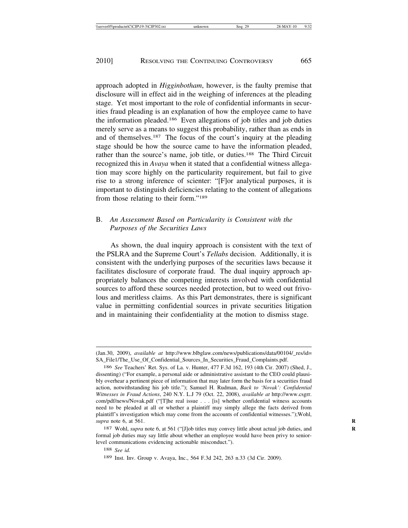approach adopted in *Higginbotham*, however, is the faulty premise that disclosure will in effect aid in the weighing of inferences at the pleading stage. Yet most important to the role of confidential informants in securities fraud pleading is an explanation of how the employee came to have the information pleaded.186 Even allegations of job titles and job duties merely serve as a means to suggest this probability, rather than as ends in and of themselves.187 The focus of the court's inquiry at the pleading stage should be how the source came to have the information pleaded, rather than the source's name, job title, or duties.188 The Third Circuit recognized this in *Avaya* when it stated that a confidential witness allegation may score highly on the particularity requirement, but fail to give rise to a strong inference of scienter: "[F]or analytical purposes, it is important to distinguish deficiencies relating to the content of allegations from those relating to their form."189

## B. *An Assessment Based on Particularity is Consistent with the Purposes of the Securities Laws*

As shown, the dual inquiry approach is consistent with the text of the PSLRA and the Supreme Court's *Tellabs* decision. Additionally, it is consistent with the underlying purposes of the securities laws because it facilitates disclosure of corporate fraud. The dual inquiry approach appropriately balances the competing interests involved with confidential sources to afford these sources needed protection, but to weed out frivolous and meritless claims. As this Part demonstrates, there is significant value in permitting confidential sources in private securities litigation and in maintaining their confidentiality at the motion to dismiss stage.

<sup>(</sup>Jan.30, 2009), *available at* http://www.blbglaw.com/news/publications/data/00104/\_res/id= SA\_File1/The\_Use\_Of\_Confidential\_Sources\_In\_Securities\_Fraud\_Complaints.pdf.

<sup>186</sup> *See* Teachers' Ret. Sys. of La. v. Hunter, 477 F.3d 162, 193 (4th Cir. 2007) (Shed, J., dissenting) ("For example, a personal aide or administrative assistant to the CEO could plausibly overhear a pertinent piece of information that may later form the basis for a securities fraud action, notwithstanding his job title."); Samuel H. Rudman, *Back to 'Novak': Confidential Witnesses in Fraud Actions*, 240 N.Y. L.J 79 (Oct. 22, 2008), *available at* http://www.csgrr. com/pdf/news/Novak.pdf ("[T]he real issue . . . [is] whether confidential witness accounts need to be pleaded at all or whether a plaintiff may simply allege the facts derived from plaintiff's investigation which may come from the accounts of confidential witnesses.");Wohl, *supra* note 6, at 561. **R**

<sup>187</sup> Wohl, *supra* note 6, at 561 ("[J]ob titles may convey little about actual job duties, and **R** formal job duties may say little about whether an employee would have been privy to seniorlevel communications evidencing actionable misconduct.").

<sup>188</sup> *See id.*

<sup>189</sup> Inst. Inv. Group v. Avaya, Inc., 564 F.3d 242, 263 n.33 (3d Cir. 2009).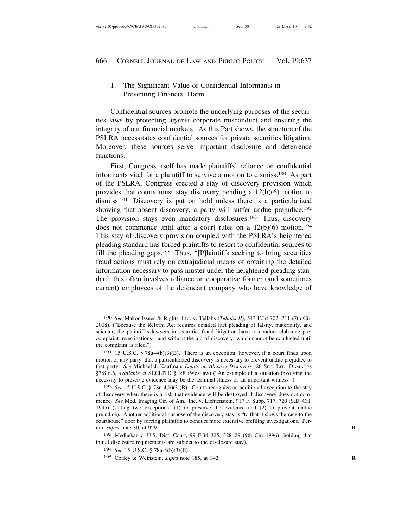# 1. The Significant Value of Confidential Informants in Preventing Financial Harm

Confidential sources promote the underlying purposes of the securities laws by protecting against corporate misconduct and ensuring the integrity of our financial markets. As this Part shows, the structure of the PSLRA necessitates confidential sources for private securities litigation. Moreover, these sources serve important disclosure and deterrence functions.

First, Congress itself has made plaintiffs' reliance on confidential informants vital for a plaintiff to survive a motion to dismiss.190 As part of the PSLRA, Congress erected a stay of discovery provision which provides that courts must stay discovery pending a 12(b)(6) motion to dismiss.191 Discovery is put on hold unless there is a particularized showing that absent discovery, a party will suffer undue prejudice.<sup>192</sup> The provision stays even mandatory disclosures.<sup>193</sup> Thus, discovery does not commence until after a court rules on a  $12(b)(6)$  motion.<sup>194</sup> This stay of discovery provision coupled with the PSLRA's heightened pleading standard has forced plaintiffs to resort to confidential sources to fill the pleading gaps.195 Thus, "[P]laintiffs seeking to bring securities fraud actions must rely on extrajudicial means of obtaining the detailed information necessary to pass muster under the heightened pleading standard; this often involves reliance on cooperative former (and sometimes current) employees of the defendant company who have knowledge of

193 Medhekar v. U.S. Dist. Court, 99 F.3d 325, 328–29 (9th Cir. 1996) (holding that initial disclosure requirements are subject to the disclosure stay).

<sup>190</sup> *See* Makor Issues & Rights, Ltd. v. Tellabs (*Tellabs II*), 513 F.3d 702, 711 (7th Cir. 2008). ("Because the Reform Act requires detailed fact pleading of falsity, materiality, and scienter, the plaintiff's lawyers in securities-fraud litigation have to conduct elaborate precomplaint investigations—and without the aid of discovery, which cannot be conducted until the complaint is filed.").

<sup>191</sup> 15 U.S.C. § 78u-4(b)(3)(B). There is an exception, however, if a court finds upon motion of any party, that a particularized discovery is necessary to prevent undue prejudice to that party. *See* Michael J. Kaufman, *Limits on Abusive Discovery*, 26 SEC. LIT.: DAMAGES §3:8 n.6, *available at* SECLITD § 3:8 (Westlaw) ("An example of a situation involving the necessity to preserve evidence may be the terminal illness of an important witness.").

<sup>192</sup> *See* 15 U.S.C. § 78u-4(b)(3)(B). Courts recognize an additional exception to the stay of discovery when there is a risk that evidence will be destroyed if discovery does not commence. *See* Med. Imaging Ctr. of Am., Inc. v. Lichtenstein, 917 F. Supp. 717, 720 (S.D. Cal. 1995) (stating two exceptions: (1) to preserve the evidence and (2) to prevent undue prejudice). Another additional purpose of the discovery stay is "to that it slows the race to the courthouse" door by forcing plaintiffs to conduct more extensive prefiling investigations. Perino, *supra* note 30, at 929. **R**

<sup>194</sup> *See* 15 U.S.C. § 78u-4(b)(3)(B).

<sup>195</sup> Coffey & Weinstein, *supra* note 185, at 1–2. **R**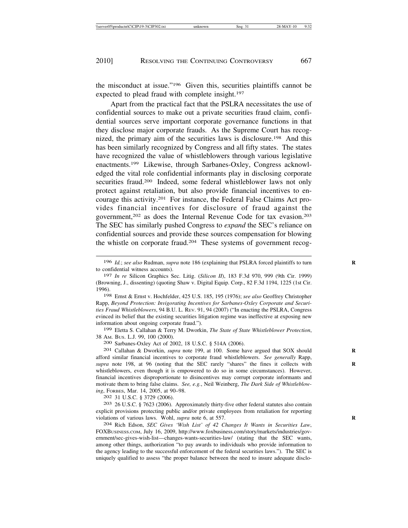the misconduct at issue."196 Given this, securities plaintiffs cannot be expected to plead fraud with complete insight.197

Apart from the practical fact that the PSLRA necessitates the use of confidential sources to make out a private securities fraud claim, confidential sources serve important corporate governance functions in that they disclose major corporate frauds. As the Supreme Court has recognized, the primary aim of the securities laws is disclosure.198 And this has been similarly recognized by Congress and all fifty states. The states have recognized the value of whistleblowers through various legislative enactments.199 Likewise, through Sarbanes-Oxley, Congress acknowledged the vital role confidential informants play in disclosing corporate securities fraud.<sup>200</sup> Indeed, some federal whistleblower laws not only protect against retaliation, but also provide financial incentives to encourage this activity.201 For instance, the Federal False Claims Act provides financial incentives for disclosure of fraud against the government,202 as does the Internal Revenue Code for tax evasion.203 The SEC has similarly pushed Congress to *expand* the SEC's reliance on confidential sources and provide these sources compensation for blowing the whistle on corporate fraud.204 These systems of government recog-

198 Ernst & Ernst v. Hochfelder, 425 U.S. 185, 195 (1976); *see also* Geoffrey Christopher Rapp, *Beyond Protection: Invigorating Incentives for Sarbanes-Oxley Corporate and Securities Fraud Whistleblowers*, 94 B.U. L. REV. 91, 94 (2007) ("In enacting the PSLRA, Congress evinced its belief that the existing securities litigation regime was ineffective at exposing new information about ongoing corporate fraud.").

199 Eletta S. Callahan & Terry M. Dworkin, *The State of State Whistleblower Protection*, 38 AM. BUS. L.J. 99, 100 (2000). <sup>200</sup> Sarbanes-Oxley Act of 2002, 18 U.S.C. § 514A (2006). <sup>201</sup> Callahan & Dworkin, *supra* note 199, at 100. Some have argued that SOX should **<sup>R</sup>**

afford similar financial incentives to corporate fraud whistleblowers. *See generally* Rapp, supra note 198, at 96 (noting that the SEC rarely "shares" the fines it collects with whistleblowers, even though it is empowered to do so in some circumstances). However, financial incentives disproportionate to disincentives may corrupt corporate informants and motivate them to bring false claims. *See, e.g.*, Neil Weinberg, *The Dark Side of Whistleblow-*

*ing*, FORBES, Mar. 14, 2005, at 90–98. <sup>202</sup> 31 U.S.C. § 3729 (2006). <sup>203</sup> 26 U.S.C. § 7623 (2006). Approximately thirty-five other federal statutes also contain explicit provisions protecting public and/or private employees from retaliation for reporting violations of various laws. Wohl, *supra* note 6, at 557. **R**

204 Rich Edson, *SEC Gives 'Wish List' of 42 Changes It Wants in Securities Law*, FOXBUSINESS.COM, July 16, 2009, http://www.foxbusiness.com/story/markets/industries/government/sec-gives-wish-list—changes-wants-securities-law/ (stating that the SEC wants, among other things, authorization "to pay awards to individuals who provide information to the agency leading to the successful enforcement of the federal securities laws."). The SEC is uniquely qualified to assess "the proper balance between the need to insure adequate disclo-

<sup>196</sup> *Id.*; *see also* Rudman, *supra* note 186 (explaining that PSLRA forced plaintiffs to turn to confidential witness accounts).

<sup>197</sup> *In re* Silicon Graphics Sec. Litig. (*Silicon II*), 183 F.3d 970, 999 (9th Cir. 1999) (Browning, J., dissenting) (quoting Shaw v. Digital Equip. Corp., 82 F.3d 1194, 1225 (1st Cir. 1996).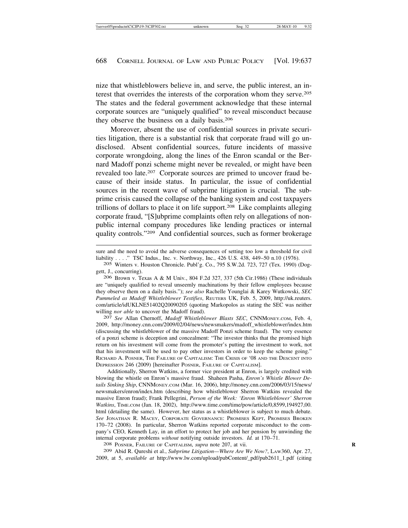nize that whistleblowers believe in, and serve, the public interest, an interest that overrides the interests of the corporation whom they serve.205 The states and the federal government acknowledge that these internal corporate sources are "uniquely qualified" to reveal misconduct because they observe the business on a daily basis.206

Moreover, absent the use of confidential sources in private securities litigation, there is a substantial risk that corporate fraud will go undisclosed. Absent confidential sources, future incidents of massive corporate wrongdoing, along the lines of the Enron scandal or the Bernard Madoff ponzi scheme might never be revealed, or might have been revealed too late.207 Corporate sources are primed to uncover fraud because of their inside status. In particular, the issue of confidential sources in the recent wave of subprime litigation is crucial. The subprime crisis caused the collapse of the banking system and cost taxpayers trillions of dollars to place it on life support.208 Like complaints alleging corporate fraud, "[S]ubprime complaints often rely on allegations of nonpublic internal company procedures like lending practices or internal quality controls."209 And confidential sources, such as former brokerage

206 Brown v. Texas A & M Univ*.*, 804 F.2d 327, 337 (5th Cir.1986) (These individuals are "uniquely qualified to reveal unseemly machinations by their fellow employees because they observe them on a daily basis."); *see also* Rachelle Younglai & Karey Wutkowski, *SEC Pummeled as Madoff Whistleblower Testifies*, REUTERS UK, Feb. 5, 2009, http://uk.reuters. com/article/idUKLNE51402Q20090205 (quoting Markopolos as stating the SEC was neither willing *nor able* to uncover the Madoff fraud). <sup>207</sup> *See* Allan Chernoff, *Madoff Whistleblower Blasts SEC*, CNNMONEY.COM, Feb. 4,

2009, http://money.cnn.com/2009/02/04/news/newsmakers/madoff\_whistleblower/index.htm (discussing the whistleblower of the massive Madoff Ponzi scheme fraud). The very essence of a ponzi scheme is deception and concealment: "The investor thinks that the promised high return on his investment will come from the promoter's putting the investment to work, not that his investment will be used to pay other investors in order to keep the scheme going." RICHARD A. POSNER, THE FAILURE OF CAPITALISM: THE CRISIS OF '08 AND THE DESCENT INTO DEPRESSION 246 (2009) [hereinafter POSNER, FAILURE OF CAPITALISM].

Additionally, Sherron Watkins, a former vice president at Enron, is largely credited with blowing the whistle on Enron's massive fraud. Shaheen Pasha, *Enron's Whistle Blower Details Sinking Ship*, CNNMONEY.COM (Mar. 16, 2006), http://money.cnn.com/2006/03/15/news/ newsmakers/enron/index.htm (describing how whistleblower Sherron Watkins revealed the massive Enron fraud); Frank Pellegrini, *Person of the Week: 'Enron Whistleblower' Sherron Watkins*, TIME.COM (Jan. 18, 2002), http://www.time.com/time/pow/article/0,8599,194927,00. html (detailing the same). However, her status as a whistleblower is subject to much debate. *See* JONATHAN R. MACEY, CORPORATE GOVERNANCE: PROMISES KEPT, PROMISES BROKEN 170–72 (2008). In particular, Sherron Watkins reported corporate misconduct to the company's CEO, Kenneth Lay, in an effort to protect her job and her pension by unwinding the internal corporate problems *without* notifying outside investors. *Id.* at 170–71. <sup>208</sup> POSNER, FAILURE OF CAPITALISM, *supra* note 207, at vii. **<sup>R</sup>**

209 Abid R. Qureshi et al., *Subprime Litigation—Where Are We Now?*, LAW360, Apr. 27, 2009, at 5, *available at* http://www.lw.com/upload/pubContent/\_pdf/pub2611\_1.pdf (citing

sure and the need to avoid the adverse consequences of setting too low a threshold for civil liability . . . ." TSC Indus., Inc. v. Northway, Inc., 426 U.S. 438, 449–50 n.10 (1976).

<sup>205</sup> Winters v. Houston Chronicle. Publ'g. Co., 795 S.W.2d. 723, 727 (Tex. 1990) (Doggett, J., concurring).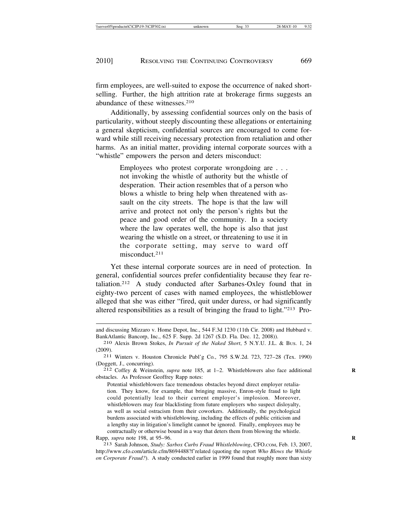firm employees, are well-suited to expose the occurrence of naked shortselling. Further, the high attrition rate at brokerage firms suggests an abundance of these witnesses.210

Additionally, by assessing confidential sources only on the basis of particularity, without steeply discounting these allegations or entertaining a general skepticism, confidential sources are encouraged to come forward while still receiving necessary protection from retaliation and other harms. As an initial matter, providing internal corporate sources with a "whistle" empowers the person and deters misconduct:

> Employees who protest corporate wrongdoing are . . . not invoking the whistle of authority but the whistle of desperation. Their action resembles that of a person who blows a whistle to bring help when threatened with assault on the city streets. The hope is that the law will arrive and protect not only the person's rights but the peace and good order of the community. In a society where the law operates well, the hope is also that just wearing the whistle on a street, or threatening to use it in the corporate setting, may serve to ward off misconduct.211

Yet these internal corporate sources are in need of protection. In general, confidential sources prefer confidentiality because they fear retaliation.212 A study conducted after Sarbanes-Oxley found that in eighty-two percent of cases with named employees, the whistleblower alleged that she was either "fired, quit under duress, or had significantly altered responsibilities as a result of bringing the fraud to light."213 Pro-

obstacles. As Professor Geoffrey Rapp notes:

Potential whistleblowers face tremendous obstacles beyond direct employer retaliation. They know, for example, that bringing massive, Enron-style fraud to light could potentially lead to their current employer's implosion. Moreover, whistleblowers may fear blacklisting from future employers who suspect disloyalty, as well as social ostracism from their coworkers. Additionally, the psychological burdens associated with whistleblowing, including the effects of public criticism and a lengthy stay in litigation's limelight cannot be ignored. Finally, employees may be contractually or otherwise bound in a way that deters them from blowing the whistle. Rapp, *supra* note 198, at 95–96. **R**

213 Sarah Johnson, *Study: Sarbox Curbs Fraud Whistleblowing*, CFO.COM, Feb. 13, 2007, http://www.cfo.com/article.cfm/8694488?f'related (quoting the report *Who Blows the Whistle on Corporate Fraud?*). A study conducted earlier in 1999 found that roughly more than sixty

and discussing Mizzaro v. Home Depot, Inc., 544 F.3d 1230 (11th Cir. 2008) and Hubbard v. BankAtlantic Bancorp, Inc., 625 F. Supp. 2d 1267 (S.D. Fla. Dec. 12, 2008)).

<sup>&</sup>lt;sup>210</sup> Alexis Brown Stokes, *In Pursuit of the Naked Short*, 5 N.Y.U. J.L. & Bus. 1, 24 (2009). <sup>211</sup> Winters v. Houston Chronicle Publ'g Co*.*, 795 S.W.2d. 723, 727–28 (Tex. 1990)

<sup>(</sup>Doggett, J., concurring). <sup>212</sup> Coffey & Weinstein, *supra* note 185, at 1–2. Whistleblowers also face additional **<sup>R</sup>**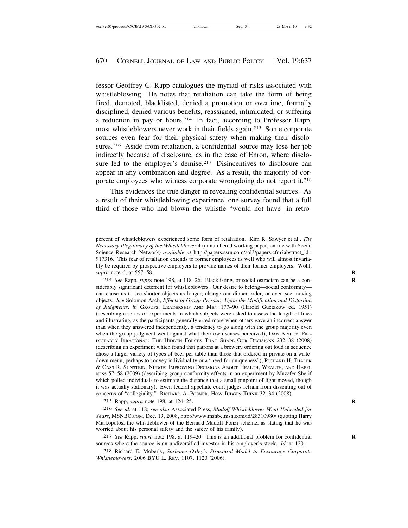fessor Geoffrey C. Rapp catalogues the myriad of risks associated with whistleblowing. He notes that retaliation can take the form of being fired, demoted, blacklisted, denied a promotion or overtime, formally disciplined, denied various benefits, reassigned, intimidated, or suffering a reduction in pay or hours.214 In fact, according to Professor Rapp, most whistleblowers never work in their fields again.215 Some corporate sources even fear for their physical safety when making their disclosures.<sup>216</sup> Aside from retaliation, a confidential source may lose her job indirectly because of disclosure, as in the case of Enron, where disclosure led to the employer's demise.<sup>217</sup> Disincentives to disclosure can appear in any combination and degree. As a result, the majority of corporate employees who witness corporate wrongdoing do not report it.218

This evidences the true danger in revealing confidential sources. As a result of their whistleblowing experience, one survey found that a full third of those who had blown the whistle "would not have [in retro-

215 Rapp, *supra* note 198, at 124–25. **R**

216 *See id.* at 118; *see also* Associated Press, *Madoff Whistleblower Went Unheeded for Years*, MSNBC.COM, Dec. 19, 2008, http://www.msnbc.msn.com/id/28310980/ (quoting Harry Markopolos, the whistleblower of the Bernard Madoff Ponzi scheme, as stating that he was worried about his personal safety and the safety of his family).

217 *See* Rapp, *supra* note 198, at 119–20. This is an additional problem for confidential **R** sources where the source is an undiversified investor in his employer's stock. *Id.* at 120.

218 Richard E. Moberly, *Sarbanes-Oxley's Structural Model to Encourage Corporate Whistleblowers*, 2006 BYU L. REV. 1107, 1120 (2006).

percent of whistleblowers experienced some form of retaliation. Kim R. Sawyer et al., *The Necessary Illegitimacy of the Whistleblower* 4 (unnumbered working paper, on file with Social Science Research Network) *available at* http://papers.ssrn.com/sol3/papers.cfm?abstract\_id= 917316. This fear of retaliation extends to former employees as well who will almost invariably be required by prospective employers to provide names of their former employers. Wohl, *supra* note 6, at 557–58. **R**

<sup>214</sup> *See* Rapp, *supra* note 198, at 118–26. Blacklisting, or social ostracism can be a con- **R** siderably significant deterrent for whistleblowers. Our desire to belong—social conformity can cause us to see shorter objects as longer, change our dinner order, or even see moving objects. *See* Solomon Asch, *Effects of Group Pressure Upon the Modification and Distortion of Judgments*, *in* GROUPS, LEADERSHIP AND MEN 177–90 (Harold Guetzkow ed. 1951) (describing a series of experiments in which subjects were asked to assess the length of lines and illustrating, as the participants generally erred more when others gave an incorrect answer than when they answered independently, a tendency to go along with the group majority even when the group judgment went against what their own senses perceived); DAN ARIELY, PRE-DICTABLY IRRATIONAL: THE HIDDEN FORCES THAT SHAPE OUR DECISIONS 232–38 (2008) (describing an experiment which found that patrons at a brewery ordering out loud in sequence chose a larger variety of types of beer per table than those that ordered in private on a writedown menu, perhaps to convey individuality or a "need for uniqueness"); RICHARD H. THALER & CASS R. SUNSTEIN, NUDGE: IMPROVING DECISIONS ABOUT HEALTH, WEALTH, AND HAPPI-NESS 57–58 (2009) (describing group conformity effects in an experiment by Muzafer Sherif which polled individuals to estimate the distance that a small pinpoint of light moved, though it was actually stationary). Even federal appellate court judges refrain from dissenting out of concerns of "collegiality." RICHARD A. POSNER, HOW JUDGES THINK 32–34 (2008).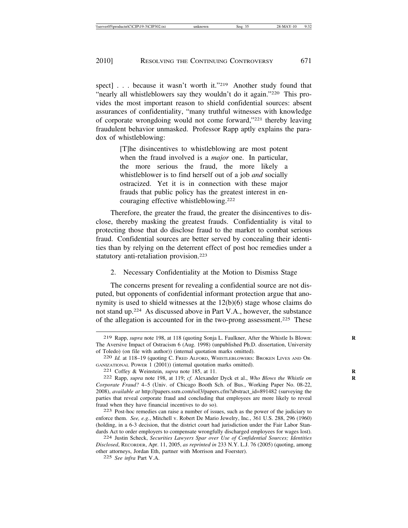spect] . . . because it wasn't worth it."<sup>219</sup> Another study found that "nearly all whistleblowers say they wouldn't do it again."<sup>220</sup> This provides the most important reason to shield confidential sources: absent assurances of confidentiality, "many truthful witnesses with knowledge of corporate wrongdoing would not come forward,"221 thereby leaving fraudulent behavior unmasked. Professor Rapp aptly explains the paradox of whistleblowing:

> [T]he disincentives to whistleblowing are most potent when the fraud involved is a *major* one. In particular, the more serious the fraud, the more likely a whistleblower is to find herself out of a job *and* socially ostracized. Yet it is in connection with these major frauds that public policy has the greatest interest in encouraging effective whistleblowing.222

Therefore, the greater the fraud, the greater the disincentives to disclose, thereby masking the greatest frauds. Confidentiality is vital to protecting those that do disclose fraud to the market to combat serious fraud. Confidential sources are better served by concealing their identities than by relying on the deterrent effect of post hoc remedies under a statutory anti-retaliation provision.223

2. Necessary Confidentiality at the Motion to Dismiss Stage

The concerns present for revealing a confidential source are not disputed, but opponents of confidential informant protection argue that anonymity is used to shield witnesses at the 12(b)(6) stage whose claims do not stand up.224 As discussed above in Part V.A., however, the substance of the allegation is accounted for in the two-prong assessment.225 These

<sup>219</sup> Rapp, *supra* note 198, at 118 (quoting Sonja L. Faulkner, After the Whistle Is Blown: **R** The Aversive Impact of Ostracism 6 (Aug. 1998) (unpublished Ph.D. dissertation, University of Toledo) (on file with author)) (internal quotation marks omitted). <sup>220</sup> *Id.* at 118–19 (quoting C. FRED ALFORD, WHISTLEBLOWERS: BROKEN LIVES AND OR-

GANIZATIONAL POWER 1 (2001)) (internal quotation marks omitted). <sup>221</sup> Coffey & Weinstein, *supra* note 185, at 11. **<sup>R</sup>**

<sup>222</sup> Rapp, *supra* note 198, at 119; *cf.* Alexander Dyck et al., *Who Blows the Whistle on* **R** *Corporate Fraud?* 4–5 (Univ. of Chicago Booth Sch. of Bus., Working Paper No. 08-22, 2008), *available at* http://papers.ssrn.com/sol3/papers.cfm?abstract\_id=891482 (surveying the parties that reveal corporate fraud and concluding that employees are more likely to reveal fraud when they have financial incentives to do so).<br>
<sup>223</sup> Post-hoc remedies can raise a number of issues, such as the power of the judiciary to

enforce them. *See, e.g.*, Mitchell v. Robert De Mario Jewelry, Inc*.*, 361 U.S. 288, 296 (1960) (holding, in a 6-3 decision, that the district court had jurisdiction under the Fair Labor Standards Act to order employers to compensate wrongfully discharged employees for wages lost). <sup>224</sup> Justin Scheck, *Securities Lawyers Spar over Use of Confidential Sources; Identities*

*Disclosed*, RECORDER, Apr. 11, 2005, *as reprinted in* 233 N.Y. L.J. 76 (2005) (quoting, among other attorneys, Jordan Eth, partner with Morrison and Foerster).

<sup>225</sup> *See infra* Part V.A.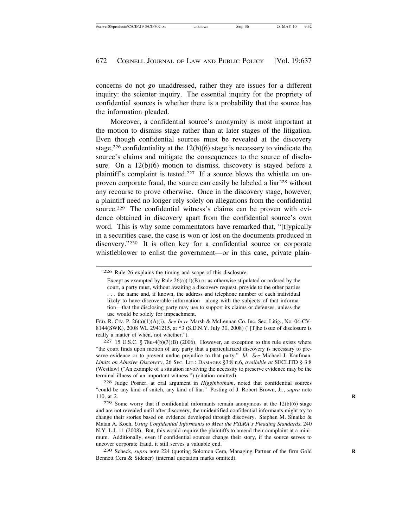concerns do not go unaddressed, rather they are issues for a different inquiry: the scienter inquiry. The essential inquiry for the propriety of confidential sources is whether there is a probability that the source has the information pleaded.

Moreover, a confidential source's anonymity is most important at the motion to dismiss stage rather than at later stages of the litigation. Even though confidential sources must be revealed at the discovery stage,<sup>226</sup> confidentiality at the  $12(b)(6)$  stage is necessary to vindicate the source's claims and mitigate the consequences to the source of disclosure. On a 12(b)(6) motion to dismiss, discovery is stayed before a plaintiff's complaint is tested.227 If a source blows the whistle on unproven corporate fraud, the source can easily be labeled a liar<sup>228</sup> without any recourse to prove otherwise. Once in the discovery stage, however, a plaintiff need no longer rely solely on allegations from the confidential source.<sup>229</sup> The confidential witness's claims can be proven with evidence obtained in discovery apart from the confidential source's own word. This is why some commentators have remarked that, "[t]ypically in a securities case, the case is won or lost on the documents produced in discovery."230 It is often key for a confidential source or corporate whistleblower to enlist the government—or in this case, private plain-

FED. R. CIV. P. 26(a)(1)(A)(i). *See In re* Marsh & McLennan Co. Inc. Sec. Litig*.*, No. 04-CV-8144(SWK), 2008 WL 2941215, at \*3 (S.D.N.Y. July 30, 2008) ("[T]he issue of disclosure is really a matter of when, not whether.").

227 15 U.S.C. § 78u-4(b)(3)(B) (2006). However, an exception to this rule exists where "the court finds upon motion of any party that a particularized discovery is necessary to preserve evidence or to prevent undue prejudice to that party." *Id. See* Michael J. Kaufman, *Limits on Abusive Discovery*, 26 SEC. LIT.: DAMAGES §3:8 n.6, *available at* SECLITD § 3:8 (Westlaw) ("An example of a situation involving the necessity to preserve evidence may be the terminal illness of an important witness.") (citation omitted).

228 Judge Posner, at oral argument in *Higginbotham*, noted that confidential sources "could be any kind of snitch, any kind of liar." Posting of J. Robert Brown, Jr., *supra* note 110, at 2. **R**

 $229$  Some worry that if confidential informants remain anonymous at the  $12(b)(6)$  stage and are not revealed until after discovery, the unidentified confidential informants might try to change their stories based on evidence developed through discovery. Stephen M. Sinaiko & Matan A. Koch, *Using Confidential Informants to Meet the PSLRA's Pleading Standards*, 240 N.Y. L.J. 11 (2008). But, this would require the plaintiffs to amend their complaint at a minimum. Additionally, even if confidential sources change their story, if the source serves to uncover corporate fraud, it still serves a valuable end.

230 Scheck, *supra* note 224 (quoting Solomon Cera, Managing Partner of the firm Gold **R** Bennett Cera & Sidener) (internal quotation marks omitted).

<sup>226</sup> Rule 26 explains the timing and scope of this disclosure:

Except as exempted by Rule  $26(a)(1)(B)$  or as otherwise stipulated or ordered by the court, a party must, without awaiting a discovery request, provide to the other parties . . . the name and, if known, the address and telephone number of each individual likely to have discoverable information—along with the subjects of that information—that the disclosing party may use to support its claims or defenses, unless the use would be solely for impeachment.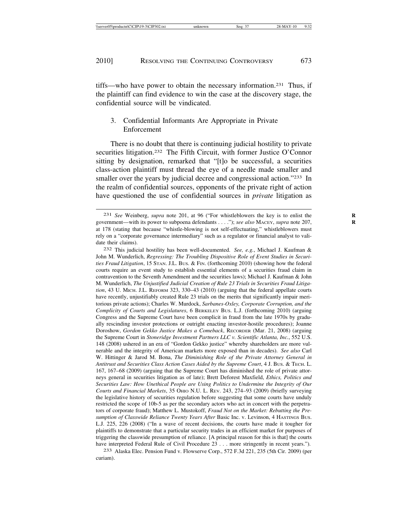tiffs—who have power to obtain the necessary information.231 Thus, if the plaintiff can find evidence to win the case at the discovery stage, the confidential source will be vindicated.

## 3. Confidential Informants Are Appropriate in Private Enforcement

There is no doubt that there is continuing judicial hostility to private securities litigation.<sup>232</sup> The Fifth Circuit, with former Justice O'Connor sitting by designation, remarked that "[t]o be successful, a securities class-action plaintiff must thread the eye of a needle made smaller and smaller over the years by judicial decree and congressional action."<sup>233</sup> In the realm of confidential sources, opponents of the private right of action have questioned the use of confidential sources in *private* litigation as

233 Alaska Elec. Pension Fund v. Flowserve Corp., 572 F.3d 221, 235 (5th Cir. 2009) (per curiam).

<sup>231</sup> *See* Weinberg, *supra* note 201, at 96 ("For whistleblowers the key is to enlist the **R** government—with its power to subpoena defendants . . . ."); see also MACEY, supra note 207, at 178 (stating that because "whistle-blowing is not self-effectuating," whistleblowers must rely on a "corporate governance intermediary" such as a regulator or financial analyst to validate their claims).

<sup>232</sup> This judicial hostility has been well-documented. *See, e.g.*, Michael J. Kaufman & John M. Wunderlich, *Regressing: The Troubling Dispositive Role of Event Studies in Securities Fraud Litigation*, 15 STAN. J.L. BUS. & FIN. (forthcoming 2010) (showing how the federal courts require an event study to establish essential elements of a securities fraud claim in contravention to the Seventh Amendment and the securities laws); Michael J. Kaufman & John M. Wunderlich, *The Unjustified Judicial Creation of Rule 23 Trials in Securities Fraud Litigation*, 43 U. MICH. J.L. REFORM 323, 330–43 (2010) (arguing that the federal appellate courts have recently, unjustifiably created Rule 23 trials on the merits that significantly impair meritorious private actions); Charles W. Murdock, *Sarbanes-Oxley, Corporate Corruption, and the Complicity of Courts and Legislatures*, 6 BERKELEY BUS. L.J. (forthcoming 2010) (arguing Congress and the Supreme Court have been complicit in fraud from the late 1970s by gradually rescinding investor protections or outright enacting investor-hostile procedures); Joanne Doroshow, *Gordon Gekko Justice Makes a Comeback*, RECORDER (Mar. 21, 2008) (arguing the Supreme Court in *Stoneridge Investment Partners LLC v. Scientific Atlanta, Inc.*, 552 U.S. 148 (2008) ushered in an era of "Gordon Gekko justice" whereby shareholders are more vulnerable and the integrity of American markets more exposed than in decades). *See also* Carl W. Hittinger & Jarod M. Bona, *The Diminishing Role of the Private Attorney General in Antitrust and Securities Class Action Cases Aided by the Supreme Court*, 4 J. BUS. & TECH. L. 167, 167–68 (2009) (arguing that the Supreme Court has diminished the role of private attorneys general in securities litigation as of late); Brett Deforest Maxfield, *Ethics, Politics and Securities Law: How Unethical People are Using Politics to Undermine the Integrity of Our Courts and Financial Markets*, 35 OHIO N.U. L. REV. 243, 274–93 (2009) (briefly surveying the legislative history of securities regulation before suggesting that some courts have unduly restricted the scope of 10b-5 as per the secondary actors who act in concert with the perpetrators of corporate fraud); Matthew L. Mustokoff, *Fraud Not on the Market: Rebutting the Presumption of Classwide Reliance Twenty Years After* Basic Inc. v. Levinson, 4 HASTINGS BUS. L.J. 225, 226 (2008) ("In a wave of recent decisions, the courts have made it tougher for plaintiffs to demonstrate that a particular security trades in an efficient market for purposes of triggering the classwide presumption of reliance. [A principal reason for this is that] the courts have interpreted Federal Rule of Civil Procedure 23 . . . more stringently in recent years.").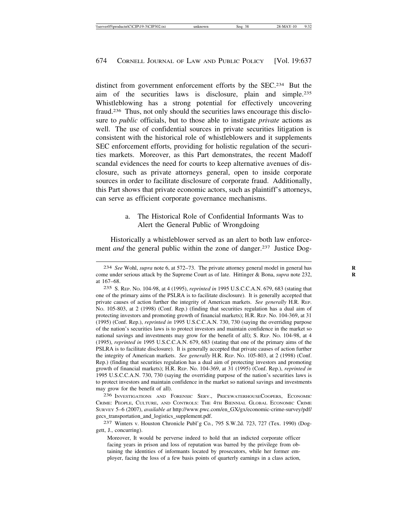distinct from government enforcement efforts by the SEC.234 But the aim of the securities laws is disclosure, plain and simple.235 Whistleblowing has a strong potential for effectively uncovering fraud.236 Thus, not only should the securities laws encourage this disclosure to *public* officials, but to those able to instigate *private* actions as well. The use of confidential sources in private securities litigation is consistent with the historical role of whistleblowers and it supplements SEC enforcement efforts, providing for holistic regulation of the securities markets. Moreover, as this Part demonstrates, the recent Madoff scandal evidences the need for courts to keep alternative avenues of disclosure, such as private attorneys general, open to inside corporate sources in order to facilitate disclosure of corporate fraud. Additionally, this Part shows that private economic actors, such as plaintiff's attorneys, can serve as efficient corporate governance mechanisms.

#### a. The Historical Role of Confidential Informants Was to Alert the General Public of Wrongdoing

Historically a whistleblower served as an alert to both law enforcement *and* the general public within the zone of danger.<sup>237</sup> Justice Dog-

236 INVESTIGATIONS AND FORENSIC SERV., PRICEWATERHOUSECOOPERS, ECONOMIC CRIME: PEOPLE, CULTURE, AND CONTROLS: THE 4TH BIENNIAL GLOBAL ECONOMIC CRIME SURVEY 5–6 (2007), *available at* http://www.pwc.com/en\_GX/gx/economic-crime-survey/pdf/ gecs\_transportation\_and\_logistics\_supplement.pdf.

237 Winters v. Houston Chronicle Publ'g Co*.*, 795 S.W.2d. 723, 727 (Tex. 1990) (Doggett, J., concurring).

<sup>234</sup> *See* Wohl, *supra* note 6, at 572–73. The private attorney general model in general has **R** come under serious attack by the Supreme Court as of late. Hittinger & Bona, *supra* note 232, **R** at 167–68.

<sup>235</sup> S. REP. NO. 104-98, at 4 (1995), *reprinted in* 1995 U.S.C.C.A.N. 679, 683 (stating that one of the primary aims of the PSLRA is to facilitate disclosure). It is generally accepted that private causes of action further the integrity of American markets. *See generally* H.R. REP. NO. 105-803, at 2 (1998) (Conf. Rep.) (finding that securities regulation has a dual aim of protecting investors and promoting growth of financial markets); H.R. REP. No. 104-369, at 31 (1995) (Conf. Rep.), *reprinted in* 1995 U.S.C.C.A.N. 730, 730 (saying the overriding purpose of the nation's securities laws is to protect investors and maintain confidence in the market so national savings and investments may grow for the benefit of all); S. REP. NO. 104-98, at 4 (1995), *reprinted in* 1995 U.S.C.C.A.N. 679, 683 (stating that one of the primary aims of the PSLRA is to facilitate disclosure). It is generally accepted that private causes of action further the integrity of American markets. *See generally* H.R. REP. NO. 105-803, at 2 (1998) (Conf. Rep.) (finding that securities regulation has a dual aim of protecting investors and promoting growth of financial markets); H.R. REP. No. 104-369, at 31 (1995) (Conf. Rep.), *reprinted in* 1995 U.S.C.C.A.N. 730, 730 (saying the overriding purpose of the nation's securities laws is to protect investors and maintain confidence in the market so national savings and investments may grow for the benefit of all).

Moreover, It would be perverse indeed to hold that an indicted corporate officer facing years in prison and loss of reputation was barred by the privilege from obtaining the identities of informants located by prosecutors, while her former employer, facing the loss of a few basis points of quarterly earnings in a class action,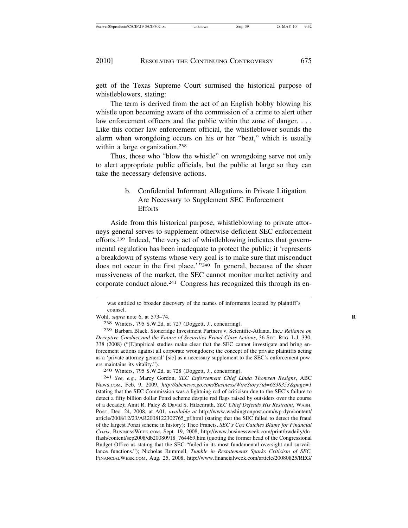gett of the Texas Supreme Court surmised the historical purpose of whistleblowers, stating:

The term is derived from the act of an English bobby blowing his whistle upon becoming aware of the commission of a crime to alert other law enforcement officers and the public within the zone of danger. . . . Like this corner law enforcement official, the whistleblower sounds the alarm when wrongdoing occurs on his or her "beat," which is usually within a large organization.<sup>238</sup>

Thus, those who "blow the whistle" on wrongdoing serve not only to alert appropriate public officials, but the public at large so they can take the necessary defensive actions.

# b. Confidential Informant Allegations in Private Litigation Are Necessary to Supplement SEC Enforcement **Efforts**

Aside from this historical purpose, whistleblowing to private attorneys general serves to supplement otherwise deficient SEC enforcement efforts.239 Indeed, "the very act of whistleblowing indicates that governmental regulation has been inadequate to protect the public; it 'represents a breakdown of systems whose very goal is to make sure that misconduct does not occur in the first place.'"240 In general, because of the sheer massiveness of the market, the SEC cannot monitor market activity and corporate conduct alone.241 Congress has recognized this through its en-

NEWS.COM, Feb. 9, 2009, *http://abcnews.go.com/Business/WireStory?id=6838353&page=1* (stating that the SEC Commission was a lightning rod of criticism due to the SEC's failure to detect a fifty billion dollar Ponzi scheme despite red flags raised by outsiders over the course of a decade); Amit R. Paley & David S. Hilzenrath, *SEC Chief Defends His Restraint*, WASH. POST, Dec. 24, 2008, at A01, *available at* http://www.washingtonpost.com/wp-dyn/content/ article/2008/12/23/AR2008122302765\_pf.html (stating that the SEC failed to detect the fraud of the largest Ponzi scheme in history); Theo Francis, *SEC's Cox Catches Blame for Financial Crisis*, BUSINESSWEEK.COM, Sept. 19, 2008, http://www.businessweek.com/print/bwdaily/dnflash/content/sep2008/db20080918\_764469.htm (quoting the former head of the Congressional Budget Office as stating that the SEC "failed in its most fundamental oversight and surveillance functions."); Nicholas Rummell, *Tumble in Restatements Sparks Criticism of SEC*, FINANCIALWEEK.COM, Aug. 25, 2008, http://www.financialweek.com/article/20080825/REG/

was entitled to broader discovery of the names of informants located by plaintiff's counsel.

Wohl, *supra* note 6, at 573–74. **R**

<sup>238</sup> Winters, 795 S.W.2d. at 727 (Doggett, J., concurring).

<sup>239</sup> Barbara Black, Stoneridge Investment Partners v. Scientific-Atlanta, Inc.*: Reliance on Deceptive Conduct and the Future of Securities Fraud Class Actions*, 36 SEC. REG. L.J. 330, 338 (2008) ("[E]mpirical studies make clear that the SEC cannot investigate and bring enforcement actions against all corporate wrongdoers; the concept of the private plaintiffs acting as a 'private attorney general' [sic] as a necessary supplement to the SEC's enforcement powers maintains its vitality."). <sup>240</sup> Winters, 795 S.W.2d. at 728 (Doggett, J., concurring). <sup>241</sup> *See, e.g.*, Marcy Gordon, *SEC Enforcement Chief Linda Thomsen Resigns*, ABC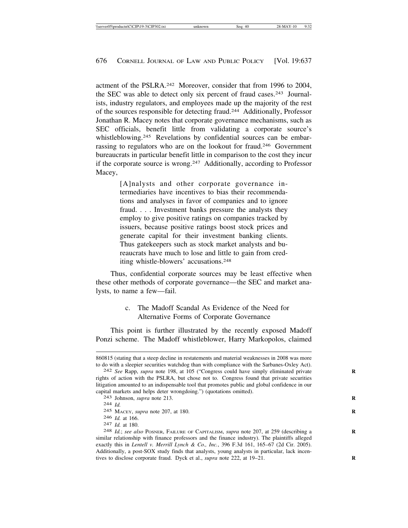actment of the PSLRA.<sup>242</sup> Moreover, consider that from 1996 to 2004. the SEC was able to detect only six percent of fraud cases.243 Journalists, industry regulators, and employees made up the majority of the rest of the sources responsible for detecting fraud.244 Additionally, Professor Jonathan R. Macey notes that corporate governance mechanisms, such as SEC officials, benefit little from validating a corporate source's whistleblowing.<sup>245</sup> Revelations by confidential sources can be embarrassing to regulators who are on the lookout for fraud.246 Government bureaucrats in particular benefit little in comparison to the cost they incur if the corporate source is wrong.247 Additionally, according to Professor Macey,

> [A]nalysts and other corporate governance intermediaries have incentives to bias their recommendations and analyses in favor of companies and to ignore fraud. . . . Investment banks pressure the analysts they employ to give positive ratings on companies tracked by issuers, because positive ratings boost stock prices and generate capital for their investment banking clients. Thus gatekeepers such as stock market analysts and bureaucrats have much to lose and little to gain from crediting whistle-blowers' accusations.248

Thus, confidential corporate sources may be least effective when these other methods of corporate governance—the SEC and market analysts, to name a few—fail.

#### c. The Madoff Scandal As Evidence of the Need for Alternative Forms of Corporate Governance

This point is further illustrated by the recently exposed Madoff Ponzi scheme. The Madoff whistleblower, Harry Markopolos, claimed

<sup>860815 (</sup>stating that a steep decline in restatements and material weaknesses in 2008 was more to do with a sleepier securities watchdog than with compliance with the Sarbanes-Oxley Act).

<sup>242</sup> *See Rapp, supra note 198, at 105* ("Congress could have simply eliminated private rights of action with the PSLRA, but chose not to. Congress found that private securities litigation amounted to an indispensable tool that promotes public and global confidence in our capital markets and helps deter wrongdoing.") (quotations omitted). <sup>243</sup> Johnson, *supra* note 213. **<sup>R</sup>**

<sup>244</sup> *Id.*

<sup>245</sup> MACEY, *supra* note 207, at 180. **R**

<sup>246</sup> *Id.* at 166. <sup>247</sup> *Id.* at 180. <sup>248</sup> *Id.*; *see also* POSNER, FAILURE OF CAPITALISM, *supra* note 207, at 259 (describing a **<sup>R</sup>** similar relationship with finance professors and the finance industry). The plaintiffs alleged exactly this in *Lentell v. Merrill Lynch & Co., Inc.*, 396 F.3d 161, 165–67 (2d Cir. 2005). Additionally, a post-SOX study finds that analysts, young analysts in particular, lack incentives to disclose corporate fraud. Dyck et al., *supra* note 222, at 19-21.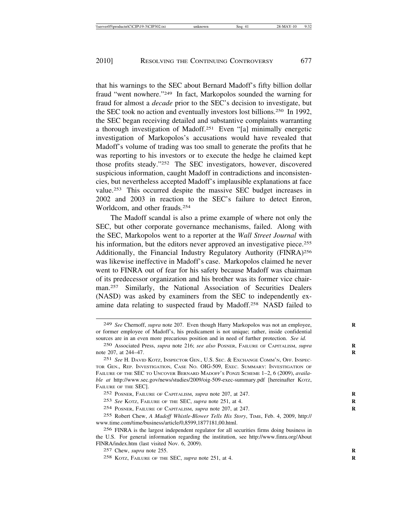that his warnings to the SEC about Bernard Madoff's fifty billion dollar fraud "went nowhere."249 In fact, Markopolos sounded the warning for fraud for almost a *decade* prior to the SEC's decision to investigate, but the SEC took no action and eventually investors lost billions.250 In 1992, the SEC began receiving detailed and substantive complaints warranting a thorough investigation of Madoff.251 Even "[a] minimally energetic investigation of Markopolos's accusations would have revealed that Madoff's volume of trading was too small to generate the profits that he was reporting to his investors or to execute the hedge he claimed kept those profits steady."252 The SEC investigators, however, discovered suspicious information, caught Madoff in contradictions and inconsistencies, but nevertheless accepted Madoff's implausible explanations at face value.253 This occurred despite the massive SEC budget increases in 2002 and 2003 in reaction to the SEC's failure to detect Enron, Worldcom, and other frauds.254

The Madoff scandal is also a prime example of where not only the SEC, but other corporate governance mechanisms, failed. Along with the SEC, Markopolos went to a reporter at the *Wall Street Journal* with his information, but the editors never approved an investigative piece.<sup>255</sup> Additionally, the Financial Industry Regulatory Authority (FINRA)256 was likewise ineffective in Madoff's case. Markopolos claimed he never went to FINRA out of fear for his safety because Madoff was chairman of its predecessor organization and his brother was its former vice chairman.257 Similarly, the National Association of Securities Dealers (NASD) was asked by examiners from the SEC to independently examine data relating to suspected fraud by Madoff.<sup>258</sup> NASD failed to

254 POSNER, FAILURE OF CAPITALISM, *supra* note 207, at 247. **R**

<sup>249</sup> *See* Chernoff, *supra* note 207. Even though Harry Markopolos was not an employee, **R** or former employee of Madoff's, his predicament is not unique; rather, inside confidential sources are in an even more precarious position and in need of further protection. *See id.*

<sup>250</sup> Associated Press, *supra* note 216; *see also* POSNER, FAILURE OF CAPITALISM, *supra* **R** note 207, at 244-47.

<sup>251</sup> *See* H. DAVID KOTZ, INSPECTOR GEN., U.S. SEC. & EXCHANGE COMM'N, OFF. INSPEC-TOR GEN., REP. INVESTIGATION, CASE NO. OIG-509, EXEC. SUMMARY: INVESTIGATION OF FAILURE OF THE SEC TO UNCOVER BERNARD MADOFF'S PONZI SCHEME 1–2, 6 (2009), *available at* http://www.sec.gov/news/studies/2009/oig-509-exec-summary.pdf [hereinafter Korz, FAILURE OF THE SEC].

<sup>252</sup> POSNER, FAILURE OF CAPITALISM, *supra* note 207, at 247. **R**

<sup>253</sup> *See* KOTZ, FAILURE OF THE SEC, *supra* note 251, at 4. **R**

<sup>255</sup> Robert Chew, *A Madoff Whistle-Blower Tells His Story*, TIME, Feb. 4, 2009, http:// www.time.com/time/business/article/0,8599,1877181,00.html.

<sup>256</sup> FINRA is the largest independent regulator for all securities firms doing business in the U.S. For general information regarding the institution, see http://www.finra.org/About FINRA/index.htm (last visited Nov. 6, 2009).

<sup>257</sup> Chew, *supra* note 255. **R**

<sup>258</sup> KOTZ, FAILURE OF THE SEC, *supra* note 251, at 4. **R**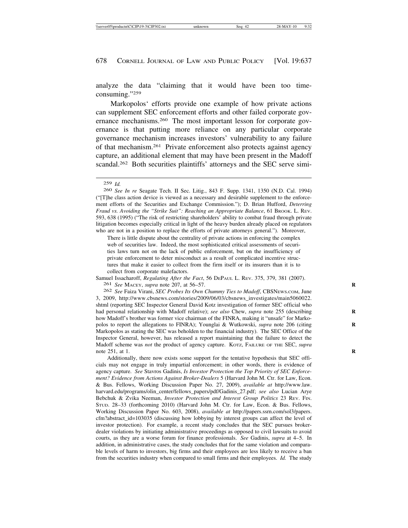analyze the data "claiming that it would have been too timeconsuming."259

Markopolos' efforts provide one example of how private actions can supplement SEC enforcement efforts and other failed corporate governance mechanisms.260 The most important lesson for corporate governance is that putting more reliance on any particular corporate governance mechanism increases investors' vulnerability to any failure of that mechanism.261 Private enforcement also protects against agency capture, an additional element that may have been present in the Madoff scandal.<sup>262</sup> Both securities plaintiffs' attorneys and the SEC serve simi-

260 *See In re* Seagate Tech. II Sec. Litig., 843 F. Supp. 1341, 1350 (N.D. Cal. 1994) ("[T]he class action device is viewed as a necessary and desirable supplement to the enforcement efforts of the Securities and Exchange Commission."); D. Brian Hufford, *Deterring Fraud vs. Avoiding the "Strike Suit": Reaching an Appropriate Balance*, 61 BROOK. L. REV. 593, 638 (1995) ("The risk of restricting shareholders' ability to combat fraud through private litigation becomes especially critical in light of the heavy burden already placed on regulators who are not in a position to replace the efforts of private attorneys general."). Moreover,

There is little dispute about the centrality of private actions in enforcing the complex web of securities law. Indeed, the most sophisticated critical assessments of securities laws turn not on the lack of public enforcement, but on the insufficiency of private enforcement to deter misconduct as a result of complicated incentive structures that make it easier to collect from the firm itself or its insurers than it is to collect from corporate malefactors.

Samuel Issacharoff, *Regulating After the Fact*, 56 DEPAUL L. REV. 375, 379, 381 (2007). 261 *See* MACEY, *supra* note 207, at 56–57. **R**

262 *See* Faiza Virani, *SEC Probes Its Own Chummy Ties to Madoff*, CBSNEWS.COM, June 3, 2009, http://www.cbsnews.com/stories/2009/06/03/cbsnews\_investigates/main5060022. shtml (reporting SEC Inspector General David Kotz investigation of former SEC official who had personal relationship with Madoff relative); *see also* Chew, *supra* note 255 (describing **R** how Madoff's brother was former vice chairman of the FINRA, making it "unsafe" for Markopolos to report the allegations to FINRA); Younglai & Wutkowski, *supra* note 206 (citing **R** Markopolos as stating the SEC was beholden to the financial industry). The SEC Office of the Inspector General, however, has released a report maintaining that the failure to detect the Madoff scheme was *not* the product of agency capture. KOTZ, FAILURE OF THE SEC, *supra* note 251, at 1. **R**

Additionally, there now exists some support for the tentative hypothesis that SEC officials may not engage in truly impartial enforcement; in other words, there is evidence of agency capture. *See* Stavros Gadinis, *Is Investor Protection the Top Priority of SEC Enforcement? Evidence from Actions Against Broker-Dealers* 5 (Harvard John M. Ctr. for Law, Econ. & Bus. Fellows, Working Discussion Paper No. 27, 2009), *available at* http://www.law. harvard.edu/programs/olin\_center/fellows\_papers/pdf/Gadinis\_27.pdf; *see also* Lucian Arye Bebchuk & Zvika Neeman, *Investor Protection and Interest Group Politics* 23 REV. FIN. STUD. 28–33 (forthcoming 2010) (Harvard John M. Ctr. for Law, Econ. & Bus. Fellows, Working Discussion Paper No. 603, 2008), *available at* http://papers.ssrn.com/sol3/papers. cfm?abstract\_id=103035 (discussing how lobbying by interest groups can affect the level of investor protection). For example, a recent study concludes that the SEC pursues brokerdealer violations by initiating administrative proceedings as opposed to civil lawsuits to avoid courts, as they are a worse forum for finance professionals. *See* Gadinis, *supra* at 4–5. In addition, in administrative cases, the study concludes that for the same violation and comparable levels of harm to investors, big firms and their employees are less likely to receive a ban from the securities industry when compared to small firms and their employees. *Id.* The study

<sup>259</sup> *Id.*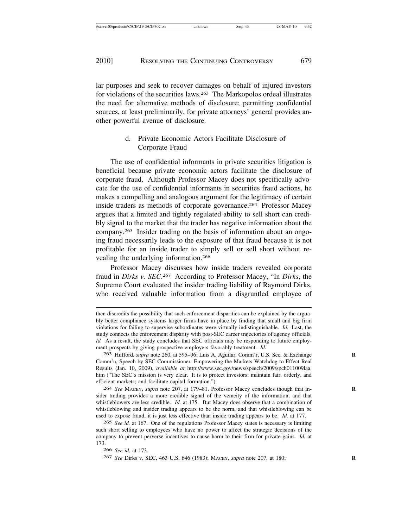lar purposes and seek to recover damages on behalf of injured investors for violations of the securities laws.263 The Markopolos ordeal illustrates the need for alternative methods of disclosure; permitting confidential sources, at least preliminarily, for private attorneys' general provides another powerful avenue of disclosure.

# d. Private Economic Actors Facilitate Disclosure of Corporate Fraud

The use of confidential informants in private securities litigation is beneficial because private economic actors facilitate the disclosure of corporate fraud. Although Professor Macey does not specifically advocate for the use of confidential informants in securities fraud actions, he makes a compelling and analogous argument for the legitimacy of certain inside traders as methods of corporate governance.264 Professor Macey argues that a limited and tightly regulated ability to sell short can credibly signal to the market that the trader has negative information about the company.265 Insider trading on the basis of information about an ongoing fraud necessarily leads to the exposure of that fraud because it is not profitable for an inside trader to simply sell or sell short without revealing the underlying information.266

Professor Macey discusses how inside traders revealed corporate fraud in *Dirks v. SEC*. 267 According to Professor Macey, "In *Dirks*, the Supreme Court evaluated the insider trading liability of Raymond Dirks, who received valuable information from a disgruntled employee of

264 *See* MACEY, *supra* note 207, at 179–81. Professor Macey concludes though that in- **R** sider trading provides a more credible signal of the veracity of the information, and that whistleblowers are less credible. *Id.* at 175. But Macey does observe that a combination of whistleblowing and insider trading appears to be the norm, and that whistleblowing can be used to expose fraud, it is just less effective than inside trading appears to be. *Id.* at 177.

265 *See id.* at 167. One of the regulations Professor Macey states is necessary is limiting such short selling to employees who have no power to affect the strategic decisions of the company to prevent perverse incentives to cause harm to their firm for private gains. *Id.* at 173.

266 *See id.* at 173.

267 *See* Dirks v. SEC, 463 U.S. 646 (1983); MACEY, *supra* note 207, at 180; **R**

then discredits the possibility that such enforcement disparities can be explained by the arguably better compliance systems larger firms have in place by finding that small and big firm violations for failing to supervise subordinates were virtually indistinguishable. *Id.* Last, the study connects the enforcement disparity with post-SEC career trajectories of agency officials. *Id.* As a result, the study concludes that SEC officials may be responding to future employment prospects by giving prospective employers favorably treatment. *Id.*

<sup>263</sup> Hufford, *supra* note 260, at 595–96; Luis A. Aguilar, Comm'r, U.S. Sec. & Exchange **R** Comm'n, Speech by SEC Commissioner: Empowering the Markets Watchdog to Effect Real Results (Jan. 10, 2009), *available at* http://www.sec.gov/news/speech/2009/spch011009laa. htm ("The SEC's mission is very clear. It is to protect investors; maintain fair, orderly, and efficient markets; and facilitate capital formation.").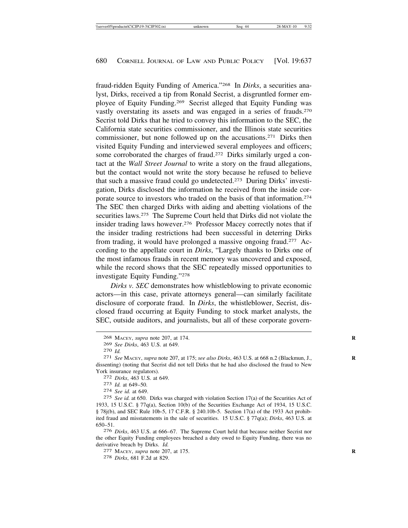fraud-ridden Equity Funding of America."268 In *Dirks*, a securities analyst, Dirks, received a tip from Ronald Secrist, a disgruntled former employee of Equity Funding.269 Secrist alleged that Equity Funding was vastly overstating its assets and was engaged in a series of frauds.270 Secrist told Dirks that he tried to convey this information to the SEC, the California state securities commissioner, and the Illinois state securities commissioner, but none followed up on the accusations.271 Dirks then visited Equity Funding and interviewed several employees and officers; some corroborated the charges of fraud.<sup>272</sup> Dirks similarly urged a contact at the *Wall Street Journal* to write a story on the fraud allegations, but the contact would not write the story because he refused to believe that such a massive fraud could go undetected.273 During Dirks' investigation, Dirks disclosed the information he received from the inside corporate source to investors who traded on the basis of that information.274 The SEC then charged Dirks with aiding and abetting violations of the securities laws.<sup>275</sup> The Supreme Court held that Dirks did not violate the insider trading laws however.<sup>276</sup> Professor Macey correctly notes that if the insider trading restrictions had been successful in deterring Dirks from trading, it would have prolonged a massive ongoing fraud.277 According to the appellate court in *Dirks*, "Largely thanks to Dirks one of the most infamous frauds in recent memory was uncovered and exposed, while the record shows that the SEC repeatedly missed opportunities to investigate Equity Funding."278

*Dirks v. SEC* demonstrates how whistleblowing to private economic actors—in this case, private attorneys general—can similarly facilitate disclosure of corporate fraud. In *Dirks*, the whistleblower, Secrist, disclosed fraud occurring at Equity Funding to stock market analysts, the SEC, outside auditors, and journalists, but all of these corporate govern-

275 *See id.* at 650. Dirks was charged with violation Section 17(a) of the Securities Act of 1933, 15 U.S.C. § 77q(a), Section 10(b) of the Securities Exchange Act of 1934, 15 U.S.C. § 78j(b), and SEC Rule 10b-5, 17 C.F.R. § 240.10b-5. Section 17(a) of the 1933 Act prohibited fraud and misstatements in the sale of securities. 15 U.S.C. § 77q(a); *Dirks*, 463 U.S. at 650–51.

276 *Dirks*, 463 U.S. at 666–67. The Supreme Court held that because neither Secrist nor the other Equity Funding employees breached a duty owed to Equity Funding, there was no derivative breach by Dirks. *Id.* 277 MACEY, *supra* note 207, at 175.

278 *Dirks*, 681 F.2d at 829.

<sup>268</sup> MACEY, *supra* note 207, at 174. **R**

<sup>269</sup> *See Dirks*, 463 U.S. at 649. <sup>270</sup> *Id.* <sup>271</sup> *See* MACEY, *supra* note 207, at 175; *see also Dirks*, 463 U.S. at 668 n.2 (Blackmun, J., **<sup>R</sup>** dissenting) (noting that Secrist did not tell Dirks that he had also disclosed the fraud to New York insurance regulators). <sup>272</sup> *Dirks*, 463 U.S. at 649. <sup>273</sup> *Id.* at 649–50. <sup>274</sup> *See id.* at 649.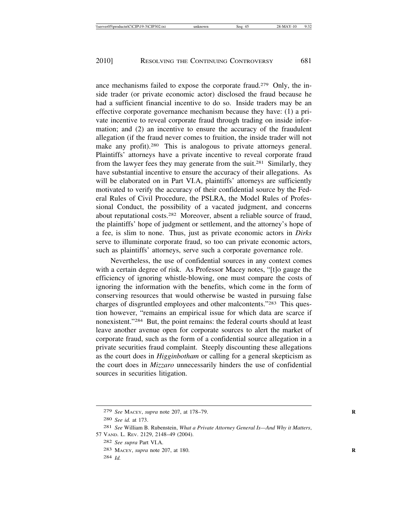ance mechanisms failed to expose the corporate fraud.279 Only, the inside trader (or private economic actor) disclosed the fraud because he had a sufficient financial incentive to do so. Inside traders may be an effective corporate governance mechanism because they have: (1) a private incentive to reveal corporate fraud through trading on inside information; and (2) an incentive to ensure the accuracy of the fraudulent allegation (if the fraud never comes to fruition, the inside trader will not make any profit).<sup>280</sup> This is analogous to private attorneys general. Plaintiffs' attorneys have a private incentive to reveal corporate fraud from the lawyer fees they may generate from the suit.281 Similarly, they have substantial incentive to ensure the accuracy of their allegations. As will be elaborated on in Part VI.A, plaintiffs' attorneys are sufficiently motivated to verify the accuracy of their confidential source by the Federal Rules of Civil Procedure, the PSLRA, the Model Rules of Professional Conduct, the possibility of a vacated judgment, and concerns about reputational costs.282 Moreover, absent a reliable source of fraud, the plaintiffs' hope of judgment or settlement, and the attorney's hope of a fee, is slim to none. Thus, just as private economic actors in *Dirks* serve to illuminate corporate fraud, so too can private economic actors, such as plaintiffs' attorneys, serve such a corporate governance role.

Nevertheless, the use of confidential sources in any context comes with a certain degree of risk. As Professor Macey notes, "[t]o gauge the efficiency of ignoring whistle-blowing, one must compare the costs of ignoring the information with the benefits, which come in the form of conserving resources that would otherwise be wasted in pursuing false charges of disgruntled employees and other malcontents."283 This question however, "remains an empirical issue for which data are scarce if nonexistent."284 But, the point remains: the federal courts should at least leave another avenue open for corporate sources to alert the market of corporate fraud, such as the form of a confidential source allegation in a private securities fraud complaint. Steeply discounting these allegations as the court does in *Higginbotham* or calling for a general skepticism as the court does in *Mizzaro* unnecessarily hinders the use of confidential sources in securities litigation.

<sup>279</sup> *See* MACEY, *supra* note 207, at 178–79. **R**

<sup>280</sup> *See id.* at 173.

<sup>281</sup> *See* William B. Rubenstein, *What a Private Attorney General Is—And Why it Matters*, 57 VAND. L. REV. 2129, 2148–49 (2004).

<sup>282</sup> *See supra* Part VI.A.

<sup>283</sup> MACEY, *supra* note 207, at 180. **R**

<sup>284</sup> *Id.*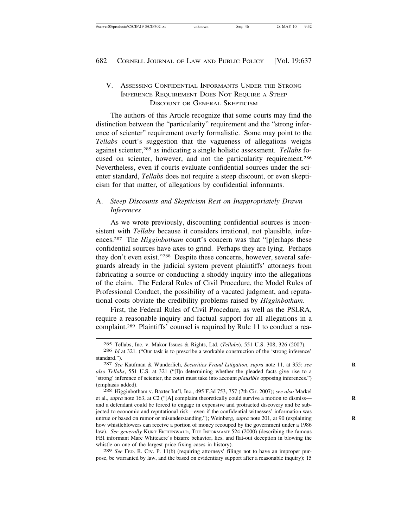# V. ASSESSING CONFIDENTIAL INFORMANTS UNDER THE STRONG INFERENCE REQUIREMENT DOES NOT REQUIRE A STEEP DISCOUNT OR GENERAL SKEPTICISM

The authors of this Article recognize that some courts may find the distinction between the "particularity" requirement and the "strong inference of scienter" requirement overly formalistic. Some may point to the *Tellabs* court's suggestion that the vagueness of allegations weighs against scienter,285 as indicating a single holistic assessment. *Tellabs* focused on scienter, however, and not the particularity requirement.286 Nevertheless, even if courts evaluate confidential sources under the scienter standard, *Tellabs* does not require a steep discount, or even skepticism for that matter, of allegations by confidential informants.

#### A. *Steep Discounts and Skepticism Rest on Inappropriately Drawn Inferences*

As we wrote previously, discounting confidential sources is inconsistent with *Tellabs* because it considers irrational, not plausible, inferences.287 The *Higginbotham* court's concern was that "[p]erhaps these confidential sources have axes to grind. Perhaps they are lying. Perhaps they don't even exist."288 Despite these concerns, however, several safeguards already in the judicial system prevent plaintiffs' attorneys from fabricating a source or conducting a shoddy inquiry into the allegations of the claim. The Federal Rules of Civil Procedure, the Model Rules of Professional Conduct, the possibility of a vacated judgment, and reputational costs obviate the credibility problems raised by *Higginbotham*.

First, the Federal Rules of Civil Procedure, as well as the PSLRA, require a reasonable inquiry and factual support for all allegations in a complaint.289 Plaintiffs' counsel is required by Rule 11 to conduct a rea-

289 *See* FED. R. CIV. P. 11(b) (requiring attorneys' filings not to have an improper purpose, be warranted by law, and the based on evidentiary support after a reasonable inquiry); 15

<sup>285</sup> Tellabs, Inc. v. Makor Issues & Rights, Ltd. (*Tellabs*), 551 U.S. 308, 326 (2007).

<sup>286</sup> *Id* at 321*.* ("Our task is to prescribe a workable construction of the 'strong inference' standard."). <sup>287</sup> *See* Kaufman & Wunderlich, *Securities Fraud Litigation*, *supra* note 11, at 355; *see* **<sup>R</sup>**

*also Tellabs*, 551 U.S. at 321 ("[I]n determining whether the pleaded facts give rise to a 'strong' inference of scienter, the court must take into account *plausible* opposing inferences.") (emphasis added). <sup>288</sup> Higginbotham v. Baxter Int'l, Inc., 495 F.3d 753, 757 (7th Cir. 2007); *see also* Markel

et al., *supra* note 163, at C2 ("[A] complaint theoretically could survive a motion to dismiss— **R** and a defendant could be forced to engage in expensive and protracted discovery and be subjected to economic and reputational risk—even if the confidential witnesses' information was untrue or based on rumor or misunderstanding."); Weinberg, *supra* note 201, at 90 (explaining how whistleblowers can receive a portion of money recouped by the government under a 1986 law). *See generally* KURT EICHENWALD, THE INFORMANT 524 (2000) (describing the famous FBI informant Marc Whiteacre's bizarre behavior, lies, and flat-out deception in blowing the whistle on one of the largest price fixing cases in history).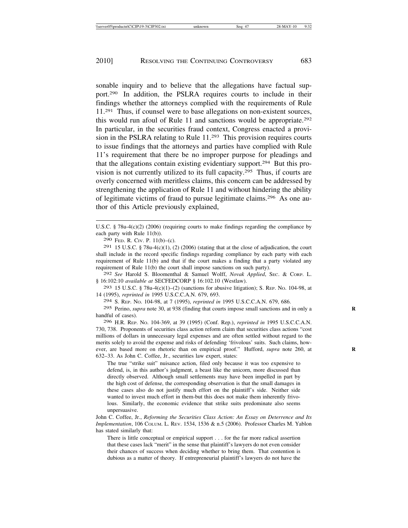sonable inquiry and to believe that the allegations have factual support.290 In addition, the PSLRA requires courts to include in their findings whether the attorneys complied with the requirements of Rule 11.291 Thus, if counsel were to base allegations on non-existent sources, this would run afoul of Rule 11 and sanctions would be appropriate.292 In particular, in the securities fraud context, Congress enacted a provision in the PSLRA relating to Rule 11.293 This provision requires courts to issue findings that the attorneys and parties have complied with Rule 11's requirement that there be no improper purpose for pleadings and that the allegations contain existing evidentiary support.294 But this provision is not currently utilized to its full capacity.295 Thus, if courts are overly concerned with meritless claims, this concern can be addressed by strengthening the application of Rule 11 and without hindering the ability of legitimate victims of fraud to pursue legitimate claims.296 As one author of this Article previously explained,

292 *See* Harold S. Bloomenthal & Samuel Wolff, *Novak Applied*, SEC. & CORP. L. § 16:102:10 *available at* SECFEDCORP § 16:102.10 (Westlaw).

293 15 U.S.C. § 78u-4(c)(1)–(2) (sanctions for abusive litigation); S. REP. NO. 104-98, at 14 (1995), *reprinted in* 1995 U.S.C.C.A.N. 679, 693.

294 S. REP. NO. 104-98, at 7 (1995), *reprinted in* 1995 U.S.C.C.A.N. 679, 686.

295 Perino, *supra* note 30, at 938 (finding that courts impose small sanctions and in only a **R** handful of cases).

296 H.R. REP. NO. 104-369, at 39 (1995) (Conf. Rep.), *reprinted in* 1995 U.S.C.C.A.N. 730, 738. Proponents of securities class action reform claim that securities class actions "cost millions of dollars in unnecessary legal expenses and are often settled without regard to the merits solely to avoid the expense and risks of defending 'frivolous' suits. Such claims, however, are based more on rhetoric than on empirical proof." Hufford, *supra* note 260, at 632–33. As John C. Coffee, Jr., securities law expert, states:

The true "strike suit" nuisance action, filed only because it was too expensive to defend, is, in this author's judgment, a beast like the unicorn, more discussed than directly observed. Although small settlements may have been impelled in part by the high cost of defense, the corresponding observation is that the small damages in these cases also do not justify much effort on the plaintiff's side. Neither side wanted to invest much effort in them-but this does not make them inherently frivolous. Similarly, the economic evidence that strike suits predominate also seems unpersuasive.

John C. Coffee, Jr., *Reforming the Securities Class Action: An Essay on Deterrence and Its Implementation*, 106 COLUM. L. REV. 1534, 1536 & n.5 (2006). Professor Charles M. Yablon has stated similarly that:

There is little conceptual or empirical support . . . for the far more radical assertion that these cases lack "merit" in the sense that plaintiff's lawyers do not even consider their chances of success when deciding whether to bring them. That contention is dubious as a matter of theory. If entrepreneurial plaintiff's lawyers do not have the

U.S.C. § 78u-4(c)(2) (2006) (requiring courts to make findings regarding the compliance by each party with Rule 11(b)).

<sup>290</sup> FED. R. CIV. P. 11(b)–(c).

<sup>291 15</sup> U.S.C. § 78u-4(c)(1), (2) (2006) (stating that at the close of adjudication, the court shall include in the record specific findings regarding compliance by each party with each requirement of Rule 11(b) and that if the court makes a finding that a party violated any requirement of Rule 11(b) the court shall impose sanctions on such party).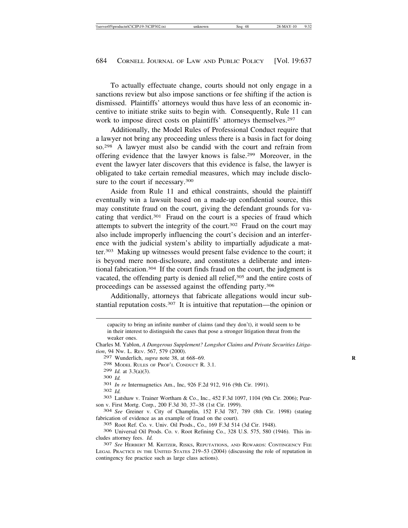To actually effectuate change, courts should not only engage in a sanctions review but also impose sanctions or fee shifting if the action is dismissed. Plaintiffs' attorneys would thus have less of an economic incentive to initiate strike suits to begin with. Consequently, Rule 11 can work to impose direct costs on plaintiffs' attorneys themselves.<sup>297</sup>

Additionally, the Model Rules of Professional Conduct require that a lawyer not bring any proceeding unless there is a basis in fact for doing so.298 A lawyer must also be candid with the court and refrain from offering evidence that the lawyer knows is false.299 Moreover, in the event the lawyer later discovers that this evidence is false, the lawyer is obligated to take certain remedial measures, which may include disclosure to the court if necessary.<sup>300</sup>

Aside from Rule 11 and ethical constraints, should the plaintiff eventually win a lawsuit based on a made-up confidential source, this may constitute fraud on the court, giving the defendant grounds for vacating that verdict.301 Fraud on the court is a species of fraud which attempts to subvert the integrity of the court.302 Fraud on the court may also include improperly influencing the court's decision and an interference with the judicial system's ability to impartially adjudicate a matter.303 Making up witnesses would present false evidence to the court; it is beyond mere non-disclosure, and constitutes a deliberate and intentional fabrication.304 If the court finds fraud on the court, the judgment is vacated, the offending party is denied all relief,<sup>305</sup> and the entire costs of proceedings can be assessed against the offending party.306

Additionally, attorneys that fabricate allegations would incur substantial reputation costs.<sup>307</sup> It is intuitive that reputation—the opinion or

300 *Id.*<br>301 *In re* Intermagnetics Am., Inc, 926 F.2d 912, 916 (9th Cir. 1991).<br>302 *Id.*<br>303 Latshaw v. Trainer Wortham & Co., Inc., 452 F.3d 1097, 1104 (9th Cir. 2006); Pearson v. First Mortg. Corp*.*, 200 F.3d 30, 37–38 (1st Cir. 1999). <sup>304</sup> *See* Greiner v. City of Champlin, 152 F.3d 787, 789 (8th Cir. 1998) (stating

fabrication of evidence as an example of fraud on the court).

305 Root Ref. Co. v. Univ. Oil Prods., Co., 169 F.3d 514 (3d Cir. 1948).

306 Universal Oil Prods. Co. v. Root Refining Co*.*, 328 U.S. 575, 580 (1946). This includes attorney fees. *Id.* <sup>307</sup> *See* HERBERT M. KRITZER, RISKS, REPUTATIONS, AND REWARDS: CONTINGENCY FEE

capacity to bring an infinite number of claims (and they don't), it would seem to be in their interest to distinguish the cases that pose a stronger litigation threat from the weaker ones.

Charles M. Yablon, *A Dangerous Supplement? Longshot Claims and Private Securities Litigation*, 94 NW. L. REV. 567, 579 (2000).

<sup>297</sup> Wunderlich, *supra* note 38, at 668–69*.* **R**

<sup>298</sup> MODEL RULES OF PROF'L CONDUCT R. 3.1.<br>299 Id. at  $3.3(a)(3)$ .

LEGAL PRACTICE IN THE UNITED STATES 219–53 (2004) (discussing the role of reputation in contingency fee practice such as large class actions).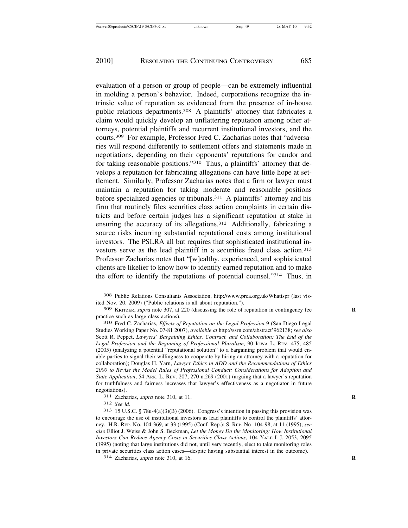evaluation of a person or group of people—can be extremely influential in molding a person's behavior. Indeed, corporations recognize the intrinsic value of reputation as evidenced from the presence of in-house public relations departments.<sup>308</sup> A plaintiffs' attorney that fabricates a claim would quickly develop an unflattering reputation among other attorneys, potential plaintiffs and recurrent institutional investors, and the courts.309 For example, Professor Fred C. Zacharias notes that "adversaries will respond differently to settlement offers and statements made in negotiations, depending on their opponents' reputations for candor and for taking reasonable positions."310 Thus, a plaintiffs' attorney that develops a reputation for fabricating allegations can have little hope at settlement. Similarly, Professor Zacharias notes that a firm or lawyer must maintain a reputation for taking moderate and reasonable positions before specialized agencies or tribunals.311 A plaintiffs' attorney and his firm that routinely files securities class action complaints in certain districts and before certain judges has a significant reputation at stake in ensuring the accuracy of its allegations.312 Additionally, fabricating a source risks incurring substantial reputational costs among institutional investors. The PSLRA all but requires that sophisticated institutional investors serve as the lead plaintiff in a securities fraud class action.313 Professor Zacharias notes that "[w]ealthy, experienced, and sophisticated clients are likelier to know how to identify earned reputation and to make the effort to identify the reputations of potential counsel."314 Thus, in

312 *See id.*

<sup>308</sup> Public Relations Consultants Association, http://www.prca.org.uk/Whatispr (last visited Nov. 20, 2009) ("Public relations is all about reputation.").

<sup>309</sup> KRITZER, *supra* note 307, at 220 (discussing the role of reputation in contingency fee **R** practice such as large class actions).

<sup>310</sup> Fred C. Zacharias, *Effects of Reputation on the Legal Profession* 9 (San Diego Legal Studies Working Paper No. 07-81 2007), *available at* http://ssrn.com/abstract'962138; *see also* Scott R. Peppet, *Lawyers' Bargaining Ethics, Contract, and Collaboration: The End of the Legal Profession and the Beginning of Professional Pluralism*, 90 IOWA L. REV. 475, 485 (2005) (analyzing a potential "reputational solution" to a bargaining problem that would enable parties to signal their willingness to cooperate by hiring an attorney with a reputation for collaboration); Douglas H. Yarn, *Lawyer Ethics in ADD and the Recommendations of Ethics 2000 to Revise the Model Rules of Professional Conduct: Considerations for Adoption and State Application*, 54 ARK. L. REV. 207, 270 n.269 (2001) (arguing that a lawyer's reputation for truthfulness and fairness increases that lawyer's effectiveness as a negotiator in future negotiations).<br><sup>311</sup> Zacharias, *supra* note 310, at 11.

 $313$  15 U.S.C. § 78u-4(a)(3)(B) (2006). Congress's intention in passing this provision was to encourage the use of institutional investors as lead plaintiffs to control the plaintiffs' attorney. H.R. REP. NO. 104-369, at 33 (1995) (Conf. Rep.); S. REP. NO. 104-98, at 11 (1995); *see also* Elliot J. Weiss & John S. Beckman, *Let the Money Do the Monitoring: How Institutional Investors Can Reduce Agency Costs in Securities Class Actions*, 104 YALE L.J. 2053, 2095 (1995) (noting that large institutions did not, until very recently, elect to take monitoring roles in private securities class action cases—despite having substantial interest in the outcome). <sup>314</sup> Zacharias, *supra* note 310, at 16. **<sup>R</sup>**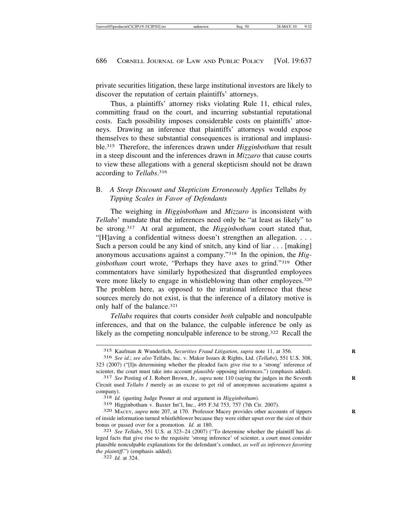private securities litigation, these large institutional investors are likely to discover the reputation of certain plaintiffs' attorneys.

Thus, a plaintiffs' attorney risks violating Rule 11, ethical rules, committing fraud on the court, and incurring substantial reputational costs. Each possibility imposes considerable costs on plaintiffs' attorneys. Drawing an inference that plaintiffs' attorneys would expose themselves to these substantial consequences is irrational and implausible.315 Therefore, the inferences drawn under *Higginbotham* that result in a steep discount and the inferences drawn in *Mizzaro* that cause courts to view these allegations with a general skepticism should not be drawn according to *Tellabs*. 316

# B. *A Steep Discount and Skepticism Erroneously Applies* Tellabs *by Tipping Scales in Favor of Defendants*

The weighing in *Higginbotham* and *Mizzaro* is inconsistent with *Tellabs*' mandate that the inferences need only be "at least as likely" to be strong.317 At oral argument, the *Higginbotham* court stated that, "[H]aving a confidential witness doesn't strengthen an allegation. . . . Such a person could be any kind of snitch, any kind of liar . . . [making] anonymous accusations against a company."318 In the opinion, the *Higginbotham* court wrote, "Perhaps they have axes to grind."319 Other commentators have similarly hypothesized that disgruntled employees were more likely to engage in whistleblowing than other employees.<sup>320</sup> The problem here, as opposed to the irrational inference that these sources merely do not exist, is that the inference of a dilatory motive is only half of the balance.321

*Tellabs* requires that courts consider *both* culpable and nonculpable inferences, and that on the balance, the culpable inference be only as likely as the competing nonculpable inference to be strong.<sup>322</sup> Recall the

<sup>319</sup> Higginbotham v. Baxter Int'l, Inc., 495 F.3d 753, 757 (7th Cir. 2007). <sup>320</sup> MACEY, *supra* note 207, at 170. Professor Macey provides other accounts of tippers **<sup>R</sup>**

<sup>315</sup> Kaufman & Wunderlich, *Securities Fraud Litigation*, *supra* note 11, at 356. **R**

<sup>316</sup> *See id.*; *see also* Tellabs, Inc. v. Makor Issues & Rights, Ltd. (*Tellabs*), 551 U.S. 308, 323 (2007) ("[I]n determining whether the pleaded facts give rise to a 'strong' inference of scienter, the court must take into account *plausible* opposing inferences.") (emphasis added). <sup>317</sup> *See* Posting of J. Robert Brown, Jr., *supra* note 110 (saying the judges in the Seventh

Circuit used *Tellabs I* merely as an excuse to get rid of anonymous accusations against a company). <sup>318</sup> *Id.* (quoting Judge Posner at oral argument in *Higginbotham*).

of inside information turned whistleblower because they were either upset over the size of their bonus or passed over for a promotion. *Id.* at 180.<br><sup>321</sup> *See Tellabs*, 551 U.S. at 323–24 (2007) ("To determine whether the plaintiff has al-

leged facts that give rise to the requisite 'strong inference' of scienter, a court must consider plausible nonculpable explanations for the defendant's conduct, *as well as inferences favoring the plaintiff*.") (emphasis added). <sup>322</sup> *Id.* at 324.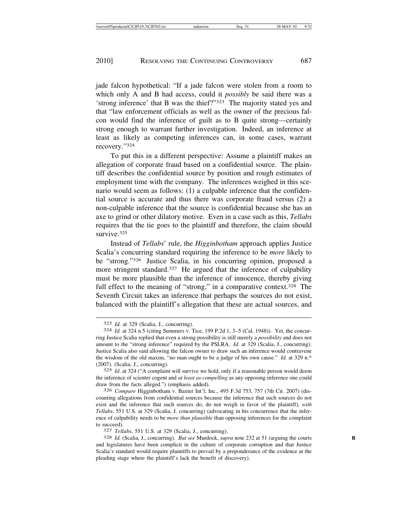jade falcon hypothetical: "If a jade falcon were stolen from a room to which only A and B had access, could it *possibly* be said there was a 'strong inference' that B was the thief?"323 The majority stated yes and that "law enforcement officials as well as the owner of the precious falcon would find the inference of guilt as to B quite strong—certainly strong enough to warrant further investigation. Indeed, an inference at least as likely as competing inferences can, in some cases, warrant recovery."324

To put this in a different perspective: Assume a plaintiff makes an allegation of corporate fraud based on a confidential source. The plaintiff describes the confidential source by position and rough estimates of employment time with the company. The inferences weighed in this scenario would seem as follows: (1) a culpable inference that the confidential source is accurate and thus there was corporate fraud versus (2) a non-culpable inference that the source is confidential because she has an axe to grind or other dilatory motive. Even in a case such as this, *Tellabs* requires that the tie goes to the plaintiff and therefore, the claim should survive<sup>325</sup>

Instead of *Tellabs*' rule, the *Higginbotham* approach applies Justice Scalia's concurring standard requiring the inference to be *more* likely to be "strong."326 Justice Scalia, in his concurring opinion, proposed a more stringent standard.<sup>327</sup> He argued that the inference of culpability must be more plausible than the inference of innocence, thereby giving full effect to the meaning of "strong," in a comparative context.<sup>328</sup> The Seventh Circuit takes an inference that perhaps the sources do not exist, balanced with the plaintiff's allegation that these are actual sources, and

326 *Compare* Higginbotham v. Baxter Int'l, Inc., 495 F.3d 753, 757 (7th Cir. 2007) (discounting allegations from confidential sources because the inference that such sources do not exist and the inference that such sources do, do not weigh in favor of the plaintiff), *with Tellabs*, 551 U.S. at 329 (Scalia, J. concurring) (advocating in his concurrence that the inference of culpability needs to be *more than plausible* than opposing inferences for the complaint

to succeed). <sup>327</sup> *Tellabs*, 551 U.S. at 329 (Scalia, J., concurring). <sup>328</sup> *Id.* (Scalia, J., concurring). *But see* Murdock, *supra* note 232 at 51 (arguing the courts **<sup>R</sup>** and legislatures have been complicit in the culture of corporate corruption and that Justice Scalia's standard would require plaintiffs to prevail by a preponderance of the evidence at the pleading stage where the plaintiff's lack the benefit of discovery).

<sup>323</sup> *Id.* at 329 (Scalia, J., concurring). <sup>324</sup> *Id.* at 324 n.5 (citing Summers v. Tice, 199 P.2d 1, 3–5 (Cal. 1948)). Yet, the concurring Justice Scalia replied that even a strong possibility is still merely a *possibility* and does not amount to the "strong inference" required by the PSLRA. *Id.* at 329 (Scalia, J., concurring). Justice Scalia also said allowing the falcon owner to draw such an inference would contravene the wisdom of the old maxim, "no man ought to be a judge of his own cause." *Id.* at 329 n.\* (2007). (Scalia, J., concurring).

<sup>325</sup> *Id*. at 324 ("A complaint will survive we hold, only if a reasonable person would deem the inference of scienter cogent and *at least as compelling* as any opposing inference one could draw from the facts alleged.") (emphasis added).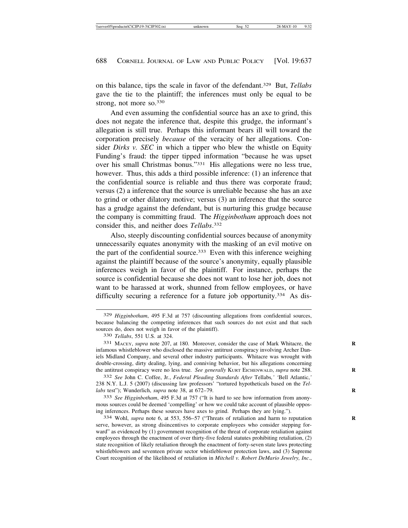on this balance, tips the scale in favor of the defendant.329 But, *Tellabs* gave the tie to the plaintiff; the inferences must only be equal to be strong, not more so.330

And even assuming the confidential source has an axe to grind, this does not negate the inference that, despite this grudge, the informant's allegation is still true. Perhaps this informant bears ill will toward the corporation precisely *because* of the veracity of her allegations. Consider *Dirks v. SEC* in which a tipper who blew the whistle on Equity Funding's fraud: the tipper tipped information "because he was upset over his small Christmas bonus."331 His allegations were no less true, however. Thus, this adds a third possible inference: (1) an inference that the confidential source is reliable and thus there was corporate fraud; versus (2) a inference that the source is unreliable because she has an axe to grind or other dilatory motive; versus (3) an inference that the source has a grudge against the defendant, but is nurturing this grudge because the company is committing fraud. The *Higginbotham* approach does not consider this, and neither does *Tellabs*. 332

Also, steeply discounting confidential sources because of anonymity unnecessarily equates anonymity with the masking of an evil motive on the part of the confidential source.<sup>333</sup> Even with this inference weighing against the plaintiff because of the source's anonymity, equally plausible inferences weigh in favor of the plaintiff. For instance, perhaps the source is confidential because she does not want to lose her job, does not want to be harassed at work, shunned from fellow employees, or have difficulty securing a reference for a future job opportunity.<sup>334</sup> As dis-

333 *See Higginbotham*, 495 F.3d at 757 ("It is hard to see how information from anonymous sources could be deemed 'compelling' or how we could take account of plausible opposing inferences. Perhaps these sources have axes to grind. Perhaps they are lying.").

334 Wohl, *supra* note 6, at 553, 556–57 ("Threats of retaliation and harm to reputation **R** serve, however, as strong disincentives to corporate employees who consider stepping forward" as evidenced by (1) government recognition of the threat of corporate retaliation against employees through the enactment of over thirty-five federal statutes prohibiting retaliation, (2) state recognition of likely retaliation through the enactment of forty-seven state laws protecting whistleblowers and seventeen private sector whistleblower protection laws, and (3) Supreme Court recognition of the likelihood of retaliation in *Mitchell v. Robert DeMario Jewelry, Inc*.,

<sup>329</sup> *Higginbotham*, 495 F.3d at 757 (discounting allegations from confidential sources, because balancing the competing inferences that such sources do not exist and that such sources do, does not weigh in favor of the plaintiff).

<sup>330</sup> *Tellabs*, 551 U.S. at 324.

<sup>331</sup> MACEY, *supra* note 207, at 180. Moreover, consider the case of Mark Whitacre, the **R** infamous whistleblower who disclosed the massive antitrust conspiracy involving Archer Daniels Midland Company, and several other industry participants. Whitacre was wrought with double-crossing, dirty dealing, lying, and conniving behavior, but his allegations concerning the antitrust conspiracy were no less true. *See generally KURT EICHENWALD, supra* note 288.

<sup>332</sup> *See* John C. Coffee, Jr., *Federal Pleading Standards After* Tellabs*,' '*Bell Atlantic,*'* 238 N.Y. L.J. 5 (2007) (discussing law professors' "tortured hypotheticals based on the *Tellabs* test"); Wunderlich, *supra* note 38, at 672-79.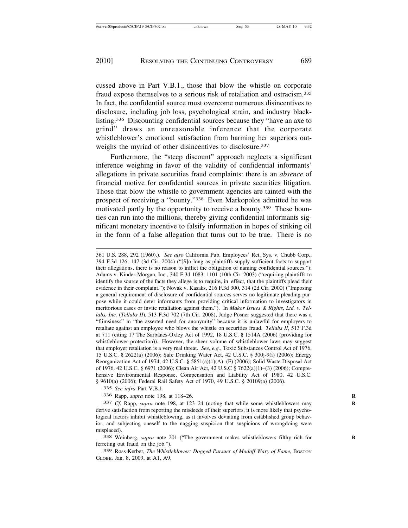cussed above in Part V.B.1., those that blow the whistle on corporate fraud expose themselves to a serious risk of retaliation and ostracism.335 In fact, the confidential source must overcome numerous disincentives to disclosure, including job loss, psychological strain, and industry blacklisting.336 Discounting confidential sources because they "have an axe to grind" draws an unreasonable inference that the corporate whistleblower's emotional satisfaction from harming her superiors outweighs the myriad of other disincentives to disclosure.<sup>337</sup>

Furthermore, the "steep discount" approach neglects a significant inference weighing in favor of the validity of confidential informants' allegations in private securities fraud complaints: there is an *absence* of financial motive for confidential sources in private securities litigation. Those that blow the whistle to government agencies are tainted with the prospect of receiving a "bounty."338 Even Markopolos admitted he was motivated partly by the opportunity to receive a bounty.339 These bounties can run into the millions, thereby giving confidential informants significant monetary incentive to falsify information in hopes of striking oil in the form of a false allegation that turns out to be true. There is no

361 U.S. 288, 292 (1960).). *See also* California Pub. Employees' Ret. Sys. v. Chubb Corp., 394 F.3d 126, 147 (3d Cir. 2004) ("[S]o long as plaintiffs supply sufficient facts to support their allegations, there is no reason to inflict the obligation of naming confidential sources."); Adams v. Kinder-Morgan, Inc., 340 F.3d 1083, 1101 (10th Cir. 2003) ("requiring plaintiffs to identify the source of the facts they allege is to require, in effect, that the plaintiffs plead their evidence in their complaint."); Novak v. Kasaks, 216 F.3d 300, 314 (2d Cir. 2000) ("Imposing a general requirement of disclosure of confidential sources serves no legitimate pleading purpose while it could deter informants from providing critical information to investigators in meritorious cases or invite retaliation against them."). In *Makor Issues & Rights*, *Ltd. v. Tellabs, Inc.* (*Tellabs II*), 513 F.3d 702 (7th Cir. 2008), Judge Posner suggested that there was a "flimsiness" in "the asserted need for anonymity" because it is unlawful for employers to retaliate against an employee who blows the whistle on securities fraud. *Tellabs II*, 513 F.3d at 711 (citing 17 The Sarbanes-Oxley Act of 1992, 18 U.S.C. § 1514A (2006) (providing for whistleblower protection)). However, the sheer volume of whistleblower laws may suggest that employer retaliation is a very real threat. *See, e.g.*, Toxic Substances Control Act of 1976, 15 U.S.C. § 2622(a) (2006); Safe Drinking Water Act, 42 U.S.C. § 300j-9(i) (2006); Energy Reorganization Act of 1974, 42 U.S.C. § 5851(a)(1)(A)–(F) (2006); Solid Waste Disposal Act of 1976, 42 U.S.C. § 6971 (2006); Clean Air Act, 42 U.S.C § 7622(a)(1)–(3) (2006); Comprehensive Environmental Response, Compensation and Liability Act of 1980, 42 U.S.C. § 9610(a) (2006); Federal Rail Safety Act of 1970, 49 U.S.C. § 20109(a) (2006).

335 *See infra* Part V.B.1.

336 Rapp, *supra* note 198, at 118–26. **R**

337 *Cf.* Rapp, *supra* note 198, at 123–24 (noting that while some whistleblowers may **R** derive satisfaction from reporting the misdeeds of their superiors, it is more likely that psychological factors inhibit whistleblowing, as it involves deviating from established group behavior, and subjecting oneself to the nagging suspicion that suspicions of wrongdoing were misplaced).

338 Weinberg, *supra* note 201 ("The government makes whistleblowers filthy rich for **R** ferreting out fraud on the job.").

339 Ross Kerber, *The Whistleblower: Dogged Pursuer of Madoff Wary of Fame*, BOSTON GLOBE, Jan. 8, 2009, at A1, A9.